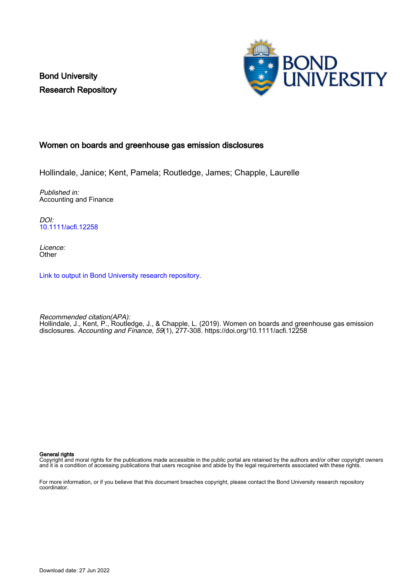Bond University Research Repository



# Women on boards and greenhouse gas emission disclosures

Hollindale, Janice; Kent, Pamela; Routledge, James; Chapple, Laurelle

Published in: Accounting and Finance

DOI: [10.1111/acfi.12258](https://doi.org/10.1111/acfi.12258)

Licence: **Other** 

[Link to output in Bond University research repository.](https://research.bond.edu.au/en/publications/14262731-ef8f-4857-a241-d03a054c981e)

Recommended citation(APA): Hollindale, J., Kent, P., Routledge, J., & Chapple, L. (2019). Women on boards and greenhouse gas emission disclosures. Accounting and Finance, 59(1), 277-308.<https://doi.org/10.1111/acfi.12258>

General rights

Copyright and moral rights for the publications made accessible in the public portal are retained by the authors and/or other copyright owners and it is a condition of accessing publications that users recognise and abide by the legal requirements associated with these rights.

For more information, or if you believe that this document breaches copyright, please contact the Bond University research repository coordinator.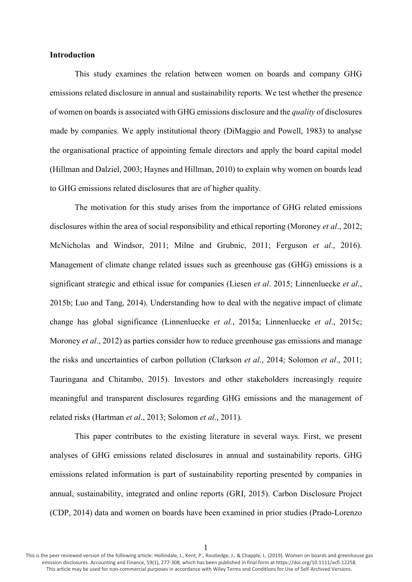## **Introduction**

This study examines the relation between women on boards and company GHG emissions related disclosure in annual and sustainability reports. We test whether the presence of women on boards is associated with GHG emissions disclosure and the *quality* of disclosures made by companies. We apply institutional theory (DiMaggio and Powell, 1983) to analyse the organisational practice of appointing female directors and apply the board capital model (Hillman and Dalziel, 2003; Haynes and Hillman, 2010) to explain why women on boards lead to GHG emissions related disclosures that are of higher quality.

The motivation for this study arises from the importance of GHG related emissions disclosures within the area of social responsibility and ethical reporting (Moroney *et al*., 2012; McNicholas and Windsor, 2011; Milne and Grubnic, 2011; Ferguson *et al*., 2016). Management of climate change related issues such as greenhouse gas (GHG) emissions is a significant strategic and ethical issue for companies (Liesen *et al*. 2015; Linnenluecke *et al*., 2015b; Luo and Tang, 2014). Understanding how to deal with the negative impact of climate change has global significance (Linnenluecke *et al.*, 2015a; Linnenluecke *et al*., 2015c; Moroney *et al*., 2012) as parties consider how to reduce greenhouse gas emissions and manage the risks and uncertainties of carbon pollution (Clarkson *et al*., 2014; Solomon *et al*., 2011; Tauringana and Chitambo, 2015). Investors and other stakeholders increasingly require meaningful and transparent disclosures regarding GHG emissions and the management of related risks (Hartman *et al*., 2013; Solomon *et al*., 2011).

This paper contributes to the existing literature in several ways. First, we present analyses of GHG emissions related disclosures in annual and sustainability reports. GHG emissions related information is part of sustainability reporting presented by companies in annual, sustainability, integrated and online reports (GRI, 2015). Carbon Disclosure Project (CDP, 2014) data and women on boards have been examined in prior studies (Prado-Lorenzo

1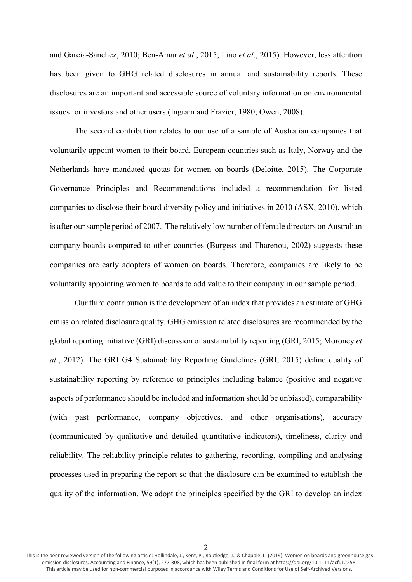and Garcia-Sanchez, 2010; Ben-Amar *et al*., 2015; Liao *et al*., 2015). However, less attention has been given to GHG related disclosures in annual and sustainability reports. These disclosures are an important and accessible source of voluntary information on environmental issues for investors and other users (Ingram and Frazier, 1980; Owen, 2008).

The second contribution relates to our use of a sample of Australian companies that voluntarily appoint women to their board. European countries such as Italy, Norway and the Netherlands have mandated quotas for women on boards (Deloitte, 2015). The Corporate Governance Principles and Recommendations included a recommendation for listed companies to disclose their board diversity policy and initiatives in 2010 (ASX, 2010), which is after our sample period of 2007. The relatively low number of female directors on Australian company boards compared to other countries (Burgess and Tharenou, 2002) suggests these companies are early adopters of women on boards. Therefore, companies are likely to be voluntarily appointing women to boards to add value to their company in our sample period.

Our third contribution is the development of an index that provides an estimate of GHG emission related disclosure quality. GHG emission related disclosures are recommended by the global reporting initiative (GRI) discussion of sustainability reporting (GRI, 2015; Moroney *et al*., 2012). The GRI G4 Sustainability Reporting Guidelines (GRI, 2015) define quality of sustainability reporting by reference to principles including balance (positive and negative aspects of performance should be included and information should be unbiased), comparability (with past performance, company objectives, and other organisations), accuracy (communicated by qualitative and detailed quantitative indicators), timeliness, clarity and reliability. The reliability principle relates to gathering, recording, compiling and analysing processes used in preparing the report so that the disclosure can be examined to establish the quality of the information. We adopt the principles specified by the GRI to develop an index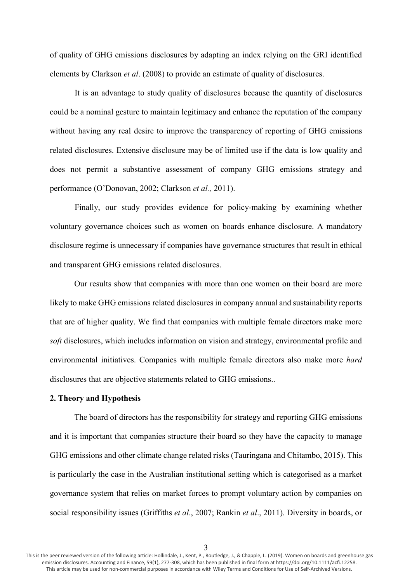of quality of GHG emissions disclosures by adapting an index relying on the GRI identified elements by Clarkson *et al*. (2008) to provide an estimate of quality of disclosures.

It is an advantage to study quality of disclosures because the quantity of disclosures could be a nominal gesture to maintain legitimacy and enhance the reputation of the company without having any real desire to improve the transparency of reporting of GHG emissions related disclosures. Extensive disclosure may be of limited use if the data is low quality and does not permit a substantive assessment of company GHG emissions strategy and performance (O'Donovan, 2002; Clarkson *et al.,* 2011).

Finally, our study provides evidence for policy-making by examining whether voluntary governance choices such as women on boards enhance disclosure. A mandatory disclosure regime is unnecessary if companies have governance structures that result in ethical and transparent GHG emissions related disclosures.

Our results show that companies with more than one women on their board are more likely to make GHG emissions related disclosures in company annual and sustainability reports that are of higher quality. We find that companies with multiple female directors make more *soft* disclosures, which includes information on vision and strategy, environmental profile and environmental initiatives. Companies with multiple female directors also make more *hard* disclosures that are objective statements related to GHG emissions..

## **2. Theory and Hypothesis**

The board of directors has the responsibility for strategy and reporting GHG emissions and it is important that companies structure their board so they have the capacity to manage GHG emissions and other climate change related risks (Tauringana and Chitambo, 2015). This is particularly the case in the Australian institutional setting which is categorised as a market governance system that relies on market forces to prompt voluntary action by companies on social responsibility issues (Griffiths *et al*., 2007; Rankin *et al*., 2011). Diversity in boards, or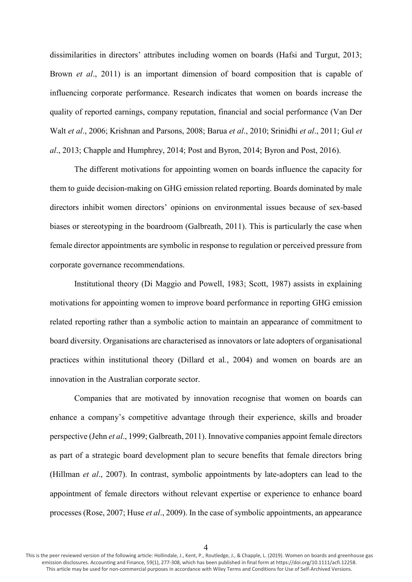dissimilarities in directors' attributes including women on boards (Hafsi and Turgut, 2013; Brown *et al*., 2011) is an important dimension of board composition that is capable of influencing corporate performance. Research indicates that women on boards increase the quality of reported earnings, company reputation, financial and social performance (Van Der Walt *et al*., 2006; Krishnan and Parsons, 2008; Barua *et al*., 2010; Srinidhi *et al*., 2011; Gul *et al*., 2013; Chapple and Humphrey, 2014; Post and Byron, 2014; Byron and Post, 2016).

The different motivations for appointing women on boards influence the capacity for them to guide decision-making on GHG emission related reporting. Boards dominated by male directors inhibit women directors' opinions on environmental issues because of sex-based biases or stereotyping in the boardroom (Galbreath, 2011). This is particularly the case when female director appointments are symbolic in response to regulation or perceived pressure from corporate governance recommendations.

Institutional theory (Di Maggio and Powell, 1983; Scott, 1987) assists in explaining motivations for appointing women to improve board performance in reporting GHG emission related reporting rather than a symbolic action to maintain an appearance of commitment to board diversity. Organisations are characterised as innovators or late adopters of organisational practices within institutional theory (Dillard et al*.*, 2004) and women on boards are an innovation in the Australian corporate sector.

Companies that are motivated by innovation recognise that women on boards can enhance a company's competitive advantage through their experience, skills and broader perspective (Jehn *et al*., 1999; Galbreath, 2011). Innovative companies appoint female directors as part of a strategic board development plan to secure benefits that female directors bring (Hillman *et al*., 2007). In contrast, symbolic appointments by late-adopters can lead to the appointment of female directors without relevant expertise or experience to enhance board processes (Rose, 2007; Huse *et al*., 2009). In the case of symbolic appointments, an appearance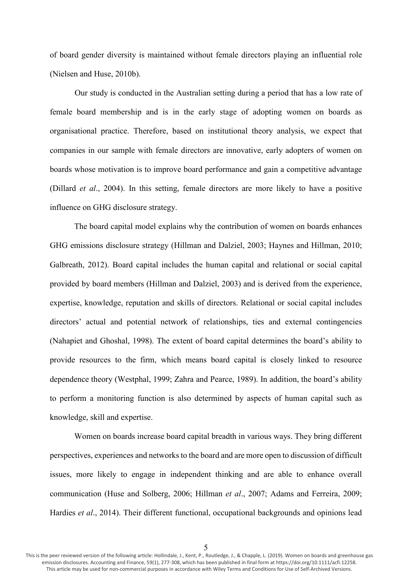of board gender diversity is maintained without female directors playing an influential role (Nielsen and Huse, 2010b).

Our study is conducted in the Australian setting during a period that has a low rate of female board membership and is in the early stage of adopting women on boards as organisational practice. Therefore, based on institutional theory analysis, we expect that companies in our sample with female directors are innovative, early adopters of women on boards whose motivation is to improve board performance and gain a competitive advantage (Dillard *et al*., 2004). In this setting, female directors are more likely to have a positive influence on GHG disclosure strategy.

The board capital model explains why the contribution of women on boards enhances GHG emissions disclosure strategy (Hillman and Dalziel, 2003; Haynes and Hillman, 2010; Galbreath, 2012). Board capital includes the human capital and relational or social capital provided by board members (Hillman and Dalziel, 2003) and is derived from the experience, expertise, knowledge, reputation and skills of directors. Relational or social capital includes directors' actual and potential network of relationships, ties and external contingencies (Nahapiet and Ghoshal, 1998). The extent of board capital determines the board's ability to provide resources to the firm, which means board capital is closely linked to resource dependence theory (Westphal, 1999; Zahra and Pearce, 1989). In addition, the board's ability to perform a monitoring function is also determined by aspects of human capital such as knowledge, skill and expertise.

Women on boards increase board capital breadth in various ways. They bring different perspectives, experiences and networks to the board and are more open to discussion of difficult issues, more likely to engage in independent thinking and are able to enhance overall communication (Huse and Solberg, 2006; Hillman *et al*., 2007; Adams and Ferreira, 2009; Hardies *et al*., 2014). Their different functional, occupational backgrounds and opinions lead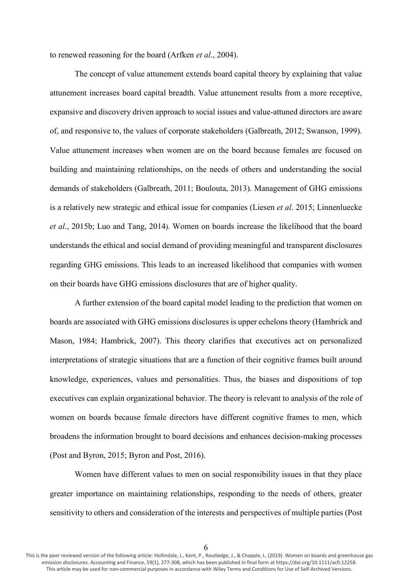to renewed reasoning for the board (Arfken *et al*., 2004).

The concept of value attunement extends board capital theory by explaining that value attunement increases board capital breadth. Value attunement results from a more receptive, expansive and discovery driven approach to social issues and value-attuned directors are aware of, and responsive to, the values of corporate stakeholders (Galbreath, 2012; Swanson, 1999). Value attunement increases when women are on the board because females are focused on building and maintaining relationships, on the needs of others and understanding the social demands of stakeholders (Galbreath, 2011; Boulouta, 2013). Management of GHG emissions is a relatively new strategic and ethical issue for companies (Liesen *et al*. 2015; Linnenluecke *et al*., 2015b; Luo and Tang, 2014). Women on boards increase the likelihood that the board understands the ethical and social demand of providing meaningful and transparent disclosures regarding GHG emissions. This leads to an increased likelihood that companies with women on their boards have GHG emissions disclosures that are of higher quality.

A further extension of the board capital model leading to the prediction that women on boards are associated with GHG emissions disclosures is upper echelons theory (Hambrick and Mason, 1984; Hambrick, 2007). This theory clarifies that executives act on personalized interpretations of strategic situations that are a function of their cognitive frames built around knowledge, experiences, values and personalities. Thus, the biases and dispositions of top executives can explain organizational behavior. The theory is relevant to analysis of the role of women on boards because female directors have different cognitive frames to men, which broadens the information brought to board decisions and enhances decision-making processes (Post and Byron, 2015; Byron and Post, 2016).

Women have different values to men on social responsibility issues in that they place greater importance on maintaining relationships, responding to the needs of others, greater sensitivity to others and consideration of the interests and perspectives of multiple parties (Post

6

This is the peer reviewed version of the following article: Hollindale, J., Kent, P., Routledge, J., & Chapple, L. (2019). Women on boards and greenhouse gas emission disclosures. Accounting and Finance, 59(1), 277-308, which has been published in final form at https://doi.org/10.1111/acfi.12258. This article may be used for non-commercial purposes in accordance with Wiley Terms and Conditions for Use of Self-Archived Versions.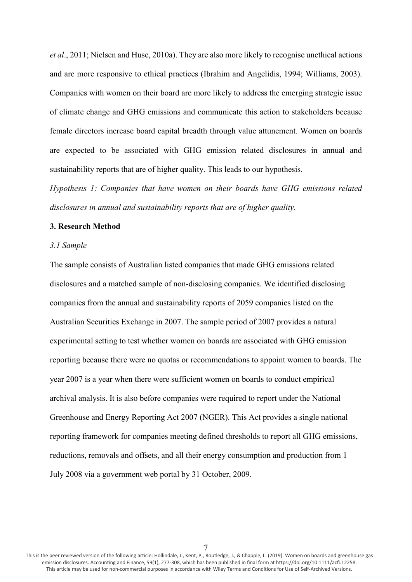*et al*., 2011; Nielsen and Huse, 2010a). They are also more likely to recognise unethical actions and are more responsive to ethical practices (Ibrahim and Angelidis, 1994; Williams, 2003). Companies with women on their board are more likely to address the emerging strategic issue of climate change and GHG emissions and communicate this action to stakeholders because female directors increase board capital breadth through value attunement. Women on boards are expected to be associated with GHG emission related disclosures in annual and sustainability reports that are of higher quality. This leads to our hypothesis.

*Hypothesis 1: Companies that have women on their boards have GHG emissions related disclosures in annual and sustainability reports that are of higher quality.*

#### **3. Research Method**

## *3.1 Sample*

The sample consists of Australian listed companies that made GHG emissions related disclosures and a matched sample of non-disclosing companies. We identified disclosing companies from the annual and sustainability reports of 2059 companies listed on the Australian Securities Exchange in 2007. The sample period of 2007 provides a natural experimental setting to test whether women on boards are associated with GHG emission reporting because there were no quotas or recommendations to appoint women to boards. The year 2007 is a year when there were sufficient women on boards to conduct empirical archival analysis. It is also before companies were required to report under the National Greenhouse and Energy Reporting Act 2007 (NGER). This Act provides a single national reporting framework for companies meeting defined thresholds to report all GHG emissions, reductions, removals and offsets, and all their energy consumption and production from 1 July 2008 via a government web portal by 31 October, 2009.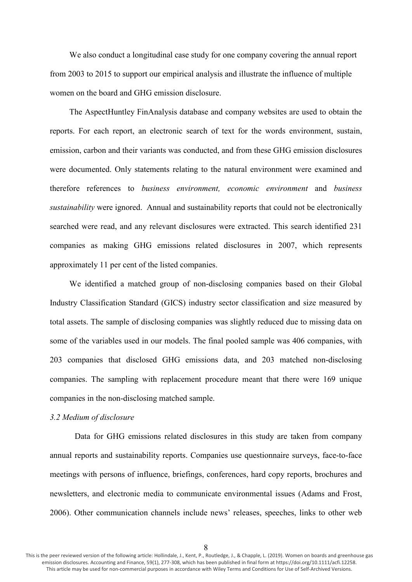We also conduct a longitudinal case study for one company covering the annual report from 2003 to 2015 to support our empirical analysis and illustrate the influence of multiple women on the board and GHG emission disclosure.

The AspectHuntley FinAnalysis database and company websites are used to obtain the reports. For each report, an electronic search of text for the words environment, sustain, emission, carbon and their variants was conducted, and from these GHG emission disclosures were documented. Only statements relating to the natural environment were examined and therefore references to *business environment, economic environment* and *business sustainability* were ignored. Annual and sustainability reports that could not be electronically searched were read, and any relevant disclosures were extracted. This search identified 231 companies as making GHG emissions related disclosures in 2007, which represents approximately 11 per cent of the listed companies.

We identified a matched group of non-disclosing companies based on their Global Industry Classification Standard (GICS) industry sector classification and size measured by total assets. The sample of disclosing companies was slightly reduced due to missing data on some of the variables used in our models. The final pooled sample was 406 companies, with 203 companies that disclosed GHG emissions data, and 203 matched non-disclosing companies. The sampling with replacement procedure meant that there were 169 unique companies in the non-disclosing matched sample.

#### *3.2 Medium of disclosure*

Data for GHG emissions related disclosures in this study are taken from company annual reports and sustainability reports. Companies use questionnaire surveys, face-to-face meetings with persons of influence, briefings, conferences, hard copy reports, brochures and newsletters, and electronic media to communicate environmental issues (Adams and Frost, 2006). Other communication channels include news' releases, speeches, links to other web

This is the peer reviewed version of the following article: Hollindale, J., Kent, P., Routledge, J., & Chapple, L. (2019). Women on boards and greenhouse gas emission disclosures. Accounting and Finance, 59(1), 277-308, which has been published in final form at https://doi.org/10.1111/acfi.12258. This article may be used for non-commercial purposes in accordance with Wiley Terms and Conditions for Use of Self-Archived Versions.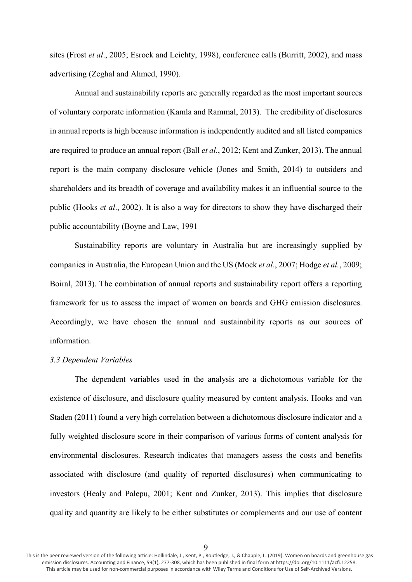sites (Frost *et al*., 2005; Esrock and Leichty, 1998), conference calls (Burritt, 2002), and mass advertising (Zeghal and Ahmed, 1990).

Annual and sustainability reports are generally regarded as the most important sources of voluntary corporate information (Kamla and Rammal, 2013). The credibility of disclosures in annual reports is high because information is independently audited and all listed companies are required to produce an annual report (Ball *et al*., 2012; Kent and Zunker, 2013). The annual report is the main company disclosure vehicle (Jones and Smith, 2014) to outsiders and shareholders and its breadth of coverage and availability makes it an influential source to the public (Hooks *et al*., 2002). It is also a way for directors to show they have discharged their public accountability (Boyne and Law, 1991

Sustainability reports are voluntary in Australia but are increasingly supplied by companies in Australia, the European Union and the US (Mock *et al*., 2007; Hodge *et al.*, 2009; Boiral, 2013). The combination of annual reports and sustainability report offers a reporting framework for us to assess the impact of women on boards and GHG emission disclosures. Accordingly, we have chosen the annual and sustainability reports as our sources of information.

# *3.3 Dependent Variables*

The dependent variables used in the analysis are a dichotomous variable for the existence of disclosure, and disclosure quality measured by content analysis. Hooks and van Staden (2011) found a very high correlation between a dichotomous disclosure indicator and a fully weighted disclosure score in their comparison of various forms of content analysis for environmental disclosures. Research indicates that managers assess the costs and benefits associated with disclosure (and quality of reported disclosures) when communicating to investors (Healy and Palepu, 2001; Kent and Zunker, 2013). This implies that disclosure quality and quantity are likely to be either substitutes or complements and our use of content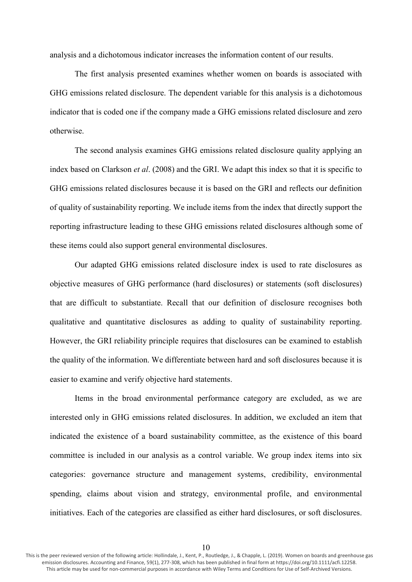analysis and a dichotomous indicator increases the information content of our results.

The first analysis presented examines whether women on boards is associated with GHG emissions related disclosure. The dependent variable for this analysis is a dichotomous indicator that is coded one if the company made a GHG emissions related disclosure and zero otherwise.

The second analysis examines GHG emissions related disclosure quality applying an index based on Clarkson *et al*. (2008) and the GRI. We adapt this index so that it is specific to GHG emissions related disclosures because it is based on the GRI and reflects our definition of quality of sustainability reporting. We include items from the index that directly support the reporting infrastructure leading to these GHG emissions related disclosures although some of these items could also support general environmental disclosures.

Our adapted GHG emissions related disclosure index is used to rate disclosures as objective measures of GHG performance (hard disclosures) or statements (soft disclosures) that are difficult to substantiate. Recall that our definition of disclosure recognises both qualitative and quantitative disclosures as adding to quality of sustainability reporting. However, the GRI reliability principle requires that disclosures can be examined to establish the quality of the information. We differentiate between hard and soft disclosures because it is easier to examine and verify objective hard statements.

Items in the broad environmental performance category are excluded, as we are interested only in GHG emissions related disclosures. In addition, we excluded an item that indicated the existence of a board sustainability committee, as the existence of this board committee is included in our analysis as a control variable. We group index items into six categories: governance structure and management systems, credibility, environmental spending, claims about vision and strategy, environmental profile, and environmental initiatives. Each of the categories are classified as either hard disclosures, or soft disclosures.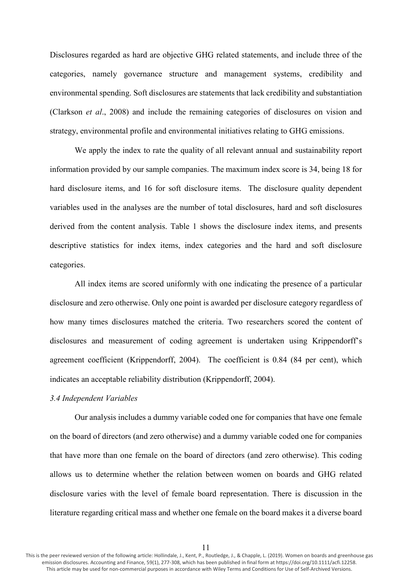Disclosures regarded as hard are objective GHG related statements, and include three of the categories, namely governance structure and management systems, credibility and environmental spending. Soft disclosures are statements that lack credibility and substantiation (Clarkson *et al*., 2008) and include the remaining categories of disclosures on vision and strategy, environmental profile and environmental initiatives relating to GHG emissions.

We apply the index to rate the quality of all relevant annual and sustainability report information provided by our sample companies. The maximum index score is 34, being 18 for hard disclosure items, and 16 for soft disclosure items. The disclosure quality dependent variables used in the analyses are the number of total disclosures, hard and soft disclosures derived from the content analysis. Table 1 shows the disclosure index items, and presents descriptive statistics for index items, index categories and the hard and soft disclosure categories.

All index items are scored uniformly with one indicating the presence of a particular disclosure and zero otherwise. Only one point is awarded per disclosure category regardless of how many times disclosures matched the criteria. Two researchers scored the content of disclosures and measurement of coding agreement is undertaken using Krippendorff's agreement coefficient (Krippendorff, 2004). The coefficient is 0.84 (84 per cent), which indicates an acceptable reliability distribution (Krippendorff, 2004).

#### *3.4 Independent Variables*

Our analysis includes a dummy variable coded one for companies that have one female on the board of directors (and zero otherwise) and a dummy variable coded one for companies that have more than one female on the board of directors (and zero otherwise). This coding allows us to determine whether the relation between women on boards and GHG related disclosure varies with the level of female board representation. There is discussion in the literature regarding critical mass and whether one female on the board makes it a diverse board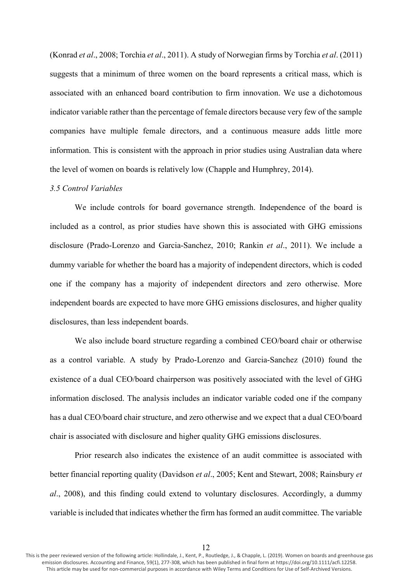(Konrad *et al*., 2008; Torchia *et al*., 2011). A study of Norwegian firms by Torchia *et al*. (2011) suggests that a minimum of three women on the board represents a critical mass, which is associated with an enhanced board contribution to firm innovation. We use a dichotomous indicator variable rather than the percentage of female directors because very few of the sample companies have multiple female directors, and a continuous measure adds little more information. This is consistent with the approach in prior studies using Australian data where the level of women on boards is relatively low (Chapple and Humphrey, 2014).

#### *3.5 Control Variables*

We include controls for board governance strength. Independence of the board is included as a control, as prior studies have shown this is associated with GHG emissions disclosure (Prado-Lorenzo and Garcia-Sanchez, 2010; Rankin *et al*., 2011). We include a dummy variable for whether the board has a majority of independent directors, which is coded one if the company has a majority of independent directors and zero otherwise. More independent boards are expected to have more GHG emissions disclosures, and higher quality disclosures, than less independent boards.

We also include board structure regarding a combined CEO/board chair or otherwise as a control variable. A study by Prado-Lorenzo and Garcia-Sanchez (2010) found the existence of a dual CEO/board chairperson was positively associated with the level of GHG information disclosed. The analysis includes an indicator variable coded one if the company has a dual CEO/board chair structure, and zero otherwise and we expect that a dual CEO/board chair is associated with disclosure and higher quality GHG emissions disclosures.

Prior research also indicates the existence of an audit committee is associated with better financial reporting quality (Davidson *et al*., 2005; Kent and Stewart, 2008; Rainsbury *et al*., 2008), and this finding could extend to voluntary disclosures. Accordingly, a dummy variable is included that indicates whether the firm has formed an audit committee. The variable

This is the peer reviewed version of the following article: Hollindale, J., Kent, P., Routledge, J., & Chapple, L. (2019). Women on boards and greenhouse gas emission disclosures. Accounting and Finance, 59(1), 277-308, which has been published in final form at https://doi.org/10.1111/acfi.12258. This article may be used for non-commercial purposes in accordance with Wiley Terms and Conditions for Use of Self-Archived Versions.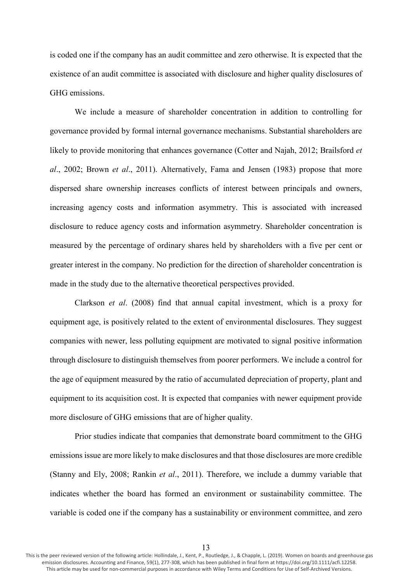is coded one if the company has an audit committee and zero otherwise. It is expected that the existence of an audit committee is associated with disclosure and higher quality disclosures of GHG emissions.

We include a measure of shareholder concentration in addition to controlling for governance provided by formal internal governance mechanisms. Substantial shareholders are likely to provide monitoring that enhances governance (Cotter and Najah, 2012; Brailsford *et al*., 2002; Brown *et al*., 2011). Alternatively, Fama and Jensen (1983) propose that more dispersed share ownership increases conflicts of interest between principals and owners, increasing agency costs and information asymmetry. This is associated with increased disclosure to reduce agency costs and information asymmetry. Shareholder concentration is measured by the percentage of ordinary shares held by shareholders with a five per cent or greater interest in the company. No prediction for the direction of shareholder concentration is made in the study due to the alternative theoretical perspectives provided.

Clarkson *et al*. (2008) find that annual capital investment, which is a proxy for equipment age, is positively related to the extent of environmental disclosures. They suggest companies with newer, less polluting equipment are motivated to signal positive information through disclosure to distinguish themselves from poorer performers. We include a control for the age of equipment measured by the ratio of accumulated depreciation of property, plant and equipment to its acquisition cost. It is expected that companies with newer equipment provide more disclosure of GHG emissions that are of higher quality.

Prior studies indicate that companies that demonstrate board commitment to the GHG emissions issue are more likely to make disclosures and that those disclosures are more credible (Stanny and Ely, 2008; Rankin *et al*., 2011). Therefore, we include a dummy variable that indicates whether the board has formed an environment or sustainability committee. The variable is coded one if the company has a sustainability or environment committee, and zero

This is the peer reviewed version of the following article: Hollindale, J., Kent, P., Routledge, J., & Chapple, L. (2019). Women on boards and greenhouse gas emission disclosures. Accounting and Finance, 59(1), 277-308, which has been published in final form at https://doi.org/10.1111/acfi.12258. This article may be used for non-commercial purposes in accordance with Wiley Terms and Conditions for Use of Self-Archived Versions.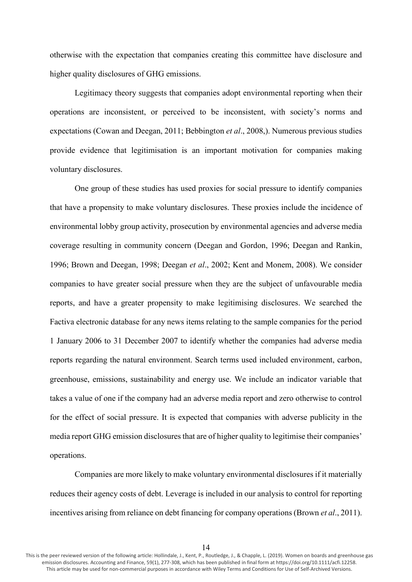otherwise with the expectation that companies creating this committee have disclosure and higher quality disclosures of GHG emissions.

Legitimacy theory suggests that companies adopt environmental reporting when their operations are inconsistent, or perceived to be inconsistent, with society's norms and expectations (Cowan and Deegan, 2011; Bebbington *et al*., 2008,). Numerous previous studies provide evidence that legitimisation is an important motivation for companies making voluntary disclosures.

One group of these studies has used proxies for social pressure to identify companies that have a propensity to make voluntary disclosures. These proxies include the incidence of environmental lobby group activity, prosecution by environmental agencies and adverse media coverage resulting in community concern (Deegan and Gordon, 1996; Deegan and Rankin, 1996; Brown and Deegan, 1998; Deegan *et al*., 2002; Kent and Monem, 2008). We consider companies to have greater social pressure when they are the subject of unfavourable media reports, and have a greater propensity to make legitimising disclosures. We searched the Factiva electronic database for any news items relating to the sample companies for the period 1 January 2006 to 31 December 2007 to identify whether the companies had adverse media reports regarding the natural environment. Search terms used included environment, carbon, greenhouse, emissions, sustainability and energy use. We include an indicator variable that takes a value of one if the company had an adverse media report and zero otherwise to control for the effect of social pressure. It is expected that companies with adverse publicity in the media report GHG emission disclosures that are of higher quality to legitimise their companies' operations.

Companies are more likely to make voluntary environmental disclosures if it materially reduces their agency costs of debt. Leverage is included in our analysis to control for reporting incentives arising from reliance on debt financing for company operations (Brown *et al*., 2011).

14

This is the peer reviewed version of the following article: Hollindale, J., Kent, P., Routledge, J., & Chapple, L. (2019). Women on boards and greenhouse gas emission disclosures. Accounting and Finance, 59(1), 277-308, which has been published in final form at https://doi.org/10.1111/acfi.12258. This article may be used for non-commercial purposes in accordance with Wiley Terms and Conditions for Use of Self-Archived Versions.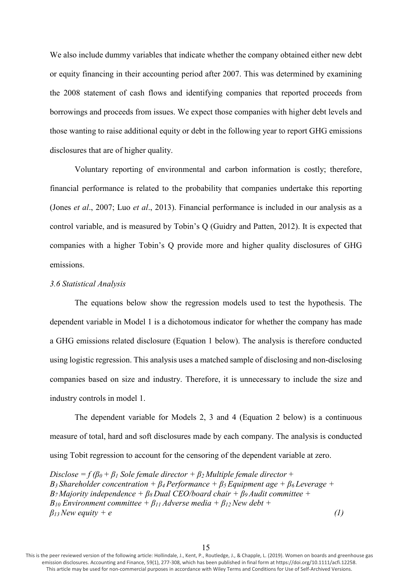We also include dummy variables that indicate whether the company obtained either new debt or equity financing in their accounting period after 2007. This was determined by examining the 2008 statement of cash flows and identifying companies that reported proceeds from borrowings and proceeds from issues. We expect those companies with higher debt levels and those wanting to raise additional equity or debt in the following year to report GHG emissions disclosures that are of higher quality.

Voluntary reporting of environmental and carbon information is costly; therefore, financial performance is related to the probability that companies undertake this reporting (Jones *et al*., 2007; Luo *et al*., 2013). Financial performance is included in our analysis as a control variable, and is measured by Tobin's Q (Guidry and Patten, 2012). It is expected that companies with a higher Tobin's Q provide more and higher quality disclosures of GHG emissions.

## *3.6 Statistical Analysis*

The equations below show the regression models used to test the hypothesis. The dependent variable in Model 1 is a dichotomous indicator for whether the company has made a GHG emissions related disclosure (Equation 1 below). The analysis is therefore conducted using logistic regression. This analysis uses a matched sample of disclosing and non-disclosing companies based on size and industry. Therefore, it is unnecessary to include the size and industry controls in model 1.

The dependent variable for Models 2, 3 and 4 (Equation 2 below) is a continuous measure of total, hard and soft disclosures made by each company. The analysis is conducted using Tobit regression to account for the censoring of the dependent variable at zero.

*Disclose* =  $f(\beta_0 + \beta_1)$  *Sole female director* +  $\beta_2$  *Multiple female director* + *Β<sup>3</sup> Shareholder concentration + β4 Performance + β5 Equipment age + β6 Leverage + Β<sup>7</sup> Majority independence + β8 Dual CEO/board chair + β9 Audit committee + Β<sup>10</sup> Environment committee + β11 Adverse media + β12 New debt +*   $\beta_{13}$  New equity + e (1)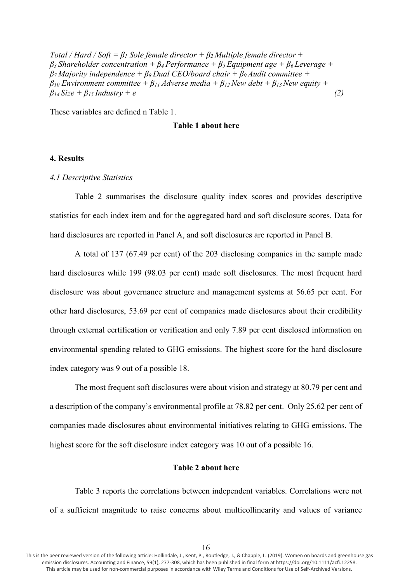*Total / Hard / Soft* =  $\beta$ <sub>*l*</sub> *Sole female director* +  $\beta$ <sub>*2</sub></sub> <i>Multiple female director* +</sub> *β3 Shareholder concentration + β4 Performance + β5 Equipment age + β6 Leverage + β7 Majority independence + β8 Dual CEO/board chair + β9 Audit committee +*   $\beta_{10}$  *Environment committee +*  $\beta_{11}$  *Adverse media +*  $\beta_{12}$  *New debt +*  $\beta_{13}$  *New equity +*  $\beta_{14}$  *Size* +  $\beta_{15}$  *Industry* + *e* (2)

These variables are defined n Table 1.

## **Table 1 about here**

# **4. Results**

## *4.1 Descriptive Statistics*

Table 2 summarises the disclosure quality index scores and provides descriptive statistics for each index item and for the aggregated hard and soft disclosure scores. Data for hard disclosures are reported in Panel A, and soft disclosures are reported in Panel B.

A total of 137 (67.49 per cent) of the 203 disclosing companies in the sample made hard disclosures while 199 (98.03 per cent) made soft disclosures. The most frequent hard disclosure was about governance structure and management systems at 56.65 per cent. For other hard disclosures, 53.69 per cent of companies made disclosures about their credibility through external certification or verification and only 7.89 per cent disclosed information on environmental spending related to GHG emissions. The highest score for the hard disclosure index category was 9 out of a possible 18.

The most frequent soft disclosures were about vision and strategy at 80.79 per cent and a description of the company's environmental profile at 78.82 per cent. Only 25.62 per cent of companies made disclosures about environmental initiatives relating to GHG emissions. The highest score for the soft disclosure index category was 10 out of a possible 16.

### **Table 2 about here**

Table 3 reports the correlations between independent variables. Correlations were not of a sufficient magnitude to raise concerns about multicollinearity and values of variance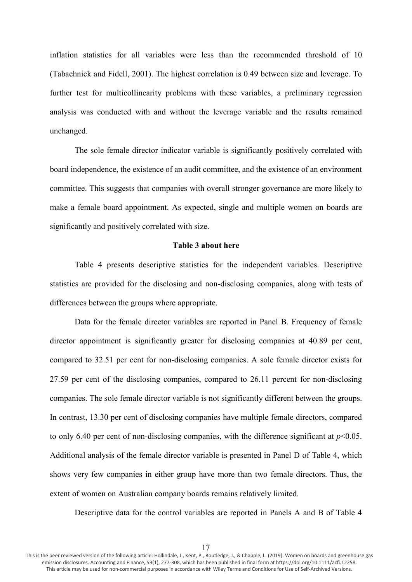inflation statistics for all variables were less than the recommended threshold of 10 (Tabachnick and Fidell, 2001). The highest correlation is 0.49 between size and leverage. To further test for multicollinearity problems with these variables, a preliminary regression analysis was conducted with and without the leverage variable and the results remained unchanged.

The sole female director indicator variable is significantly positively correlated with board independence, the existence of an audit committee, and the existence of an environment committee. This suggests that companies with overall stronger governance are more likely to make a female board appointment. As expected, single and multiple women on boards are significantly and positively correlated with size.

# **Table 3 about here**

Table 4 presents descriptive statistics for the independent variables. Descriptive statistics are provided for the disclosing and non-disclosing companies, along with tests of differences between the groups where appropriate.

Data for the female director variables are reported in Panel B. Frequency of female director appointment is significantly greater for disclosing companies at 40.89 per cent, compared to 32.51 per cent for non-disclosing companies. A sole female director exists for 27.59 per cent of the disclosing companies, compared to 26.11 percent for non-disclosing companies. The sole female director variable is not significantly different between the groups. In contrast, 13.30 per cent of disclosing companies have multiple female directors, compared to only 6.40 per cent of non-disclosing companies, with the difference significant at  $p<0.05$ . Additional analysis of the female director variable is presented in Panel D of Table 4, which shows very few companies in either group have more than two female directors. Thus, the extent of women on Australian company boards remains relatively limited.

Descriptive data for the control variables are reported in Panels A and B of Table 4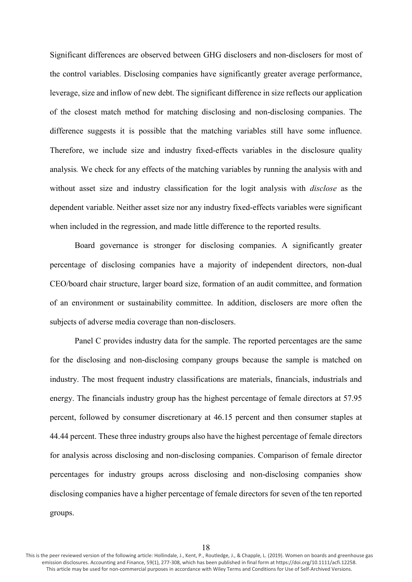Significant differences are observed between GHG disclosers and non-disclosers for most of the control variables. Disclosing companies have significantly greater average performance, leverage, size and inflow of new debt. The significant difference in size reflects our application of the closest match method for matching disclosing and non-disclosing companies. The difference suggests it is possible that the matching variables still have some influence. Therefore, we include size and industry fixed-effects variables in the disclosure quality analysis*.* We check for any effects of the matching variables by running the analysis with and without asset size and industry classification for the logit analysis with *disclose* as the dependent variable. Neither asset size nor any industry fixed-effects variables were significant when included in the regression, and made little difference to the reported results.

Board governance is stronger for disclosing companies. A significantly greater percentage of disclosing companies have a majority of independent directors, non-dual CEO/board chair structure, larger board size, formation of an audit committee, and formation of an environment or sustainability committee. In addition, disclosers are more often the subjects of adverse media coverage than non-disclosers.

Panel C provides industry data for the sample. The reported percentages are the same for the disclosing and non-disclosing company groups because the sample is matched on industry. The most frequent industry classifications are materials, financials, industrials and energy. The financials industry group has the highest percentage of female directors at 57.95 percent, followed by consumer discretionary at 46.15 percent and then consumer staples at 44.44 percent. These three industry groups also have the highest percentage of female directors for analysis across disclosing and non-disclosing companies. Comparison of female director percentages for industry groups across disclosing and non-disclosing companies show disclosing companies have a higher percentage of female directors for seven of the ten reported groups.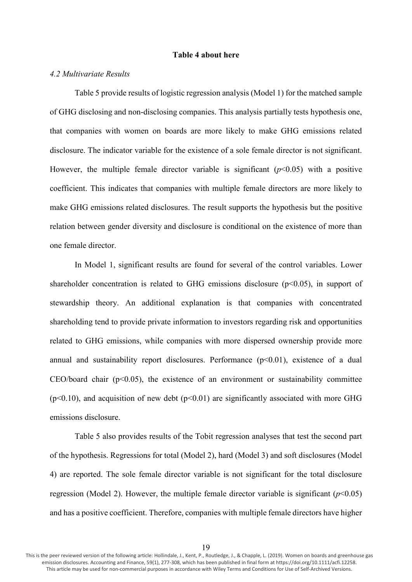## **Table 4 about here**

#### *4.2 Multivariate Results*

Table 5 provide results of logistic regression analysis (Model 1) for the matched sample of GHG disclosing and non-disclosing companies. This analysis partially tests hypothesis one, that companies with women on boards are more likely to make GHG emissions related disclosure. The indicator variable for the existence of a sole female director is not significant. However, the multiple female director variable is significant  $(p<0.05)$  with a positive coefficient. This indicates that companies with multiple female directors are more likely to make GHG emissions related disclosures. The result supports the hypothesis but the positive relation between gender diversity and disclosure is conditional on the existence of more than one female director.

In Model 1, significant results are found for several of the control variables. Lower shareholder concentration is related to GHG emissions disclosure  $(p<0.05)$ , in support of stewardship theory. An additional explanation is that companies with concentrated shareholding tend to provide private information to investors regarding risk and opportunities related to GHG emissions, while companies with more dispersed ownership provide more annual and sustainability report disclosures. Performance  $(p<0.01)$ , existence of a dual CEO/board chair  $(p<0.05)$ , the existence of an environment or sustainability committee ( $p$ <0.10), and acquisition of new debt ( $p$ <0.01) are significantly associated with more GHG emissions disclosure.

Table 5 also provides results of the Tobit regression analyses that test the second part of the hypothesis. Regressions for total (Model 2), hard (Model 3) and soft disclosures (Model 4) are reported. The sole female director variable is not significant for the total disclosure regression (Model 2). However, the multiple female director variable is significant  $(p<0.05)$ and has a positive coefficient. Therefore, companies with multiple female directors have higher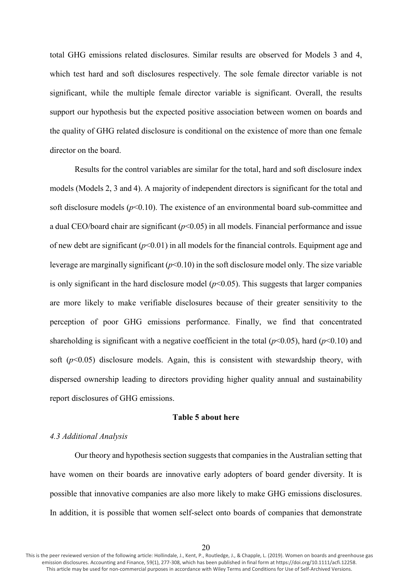total GHG emissions related disclosures. Similar results are observed for Models 3 and 4, which test hard and soft disclosures respectively. The sole female director variable is not significant, while the multiple female director variable is significant. Overall, the results support our hypothesis but the expected positive association between women on boards and the quality of GHG related disclosure is conditional on the existence of more than one female director on the board.

Results for the control variables are similar for the total, hard and soft disclosure index models (Models 2, 3 and 4). A majority of independent directors is significant for the total and soft disclosure models  $(p<0.10)$ . The existence of an environmental board sub-committee and a dual CEO/board chair are significant  $(p<0.05)$  in all models. Financial performance and issue of new debt are significant  $(p<0.01)$  in all models for the financial controls. Equipment age and leverage are marginally significant (*p*<0.10) in the soft disclosure model only. The size variable is only significant in the hard disclosure model  $(p<0.05)$ . This suggests that larger companies are more likely to make verifiable disclosures because of their greater sensitivity to the perception of poor GHG emissions performance. Finally, we find that concentrated shareholding is significant with a negative coefficient in the total  $(p<0.05)$ , hard  $(p<0.10)$  and soft ( $p$ <0.05) disclosure models. Again, this is consistent with stewardship theory, with dispersed ownership leading to directors providing higher quality annual and sustainability report disclosures of GHG emissions.

#### **Table 5 about here**

## *4.3 Additional Analysis*

Our theory and hypothesis section suggests that companies in the Australian setting that have women on their boards are innovative early adopters of board gender diversity. It is possible that innovative companies are also more likely to make GHG emissions disclosures. In addition, it is possible that women self-select onto boards of companies that demonstrate

This is the peer reviewed version of the following article: Hollindale, J., Kent, P., Routledge, J., & Chapple, L. (2019). Women on boards and greenhouse gas emission disclosures. Accounting and Finance, 59(1), 277-308, which has been published in final form at https://doi.org/10.1111/acfi.12258. This article may be used for non-commercial purposes in accordance with Wiley Terms and Conditions for Use of Self-Archived Versions.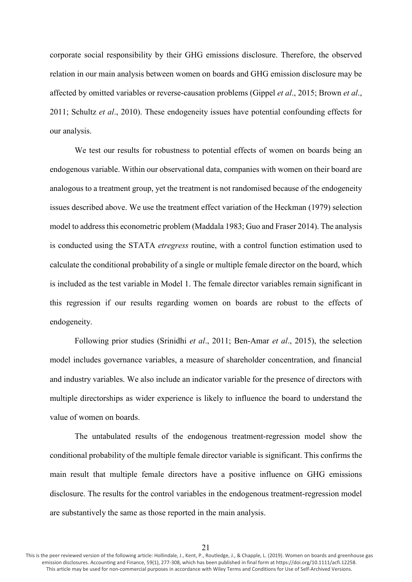corporate social responsibility by their GHG emissions disclosure. Therefore, the observed relation in our main analysis between women on boards and GHG emission disclosure may be affected by omitted variables or reverse-causation problems (Gippel *et al*., 2015; Brown *et al*., 2011; Schultz *et al*., 2010). These endogeneity issues have potential confounding effects for our analysis.

We test our results for robustness to potential effects of women on boards being an endogenous variable. Within our observational data, companies with women on their board are analogous to a treatment group, yet the treatment is not randomised because of the endogeneity issues described above. We use the treatment effect variation of the Heckman (1979) selection model to address this econometric problem (Maddala 1983; Guo and Fraser 2014). The analysis is conducted using the STATA *etregress* routine, with a control function estimation used to calculate the conditional probability of a single or multiple female director on the board, which is included as the test variable in Model 1. The female director variables remain significant in this regression if our results regarding women on boards are robust to the effects of endogeneity.

Following prior studies (Srinidhi *et al*., 2011; Ben-Amar *et al*., 2015), the selection model includes governance variables, a measure of shareholder concentration, and financial and industry variables. We also include an indicator variable for the presence of directors with multiple directorships as wider experience is likely to influence the board to understand the value of women on boards.

The untabulated results of the endogenous treatment-regression model show the conditional probability of the multiple female director variable is significant. This confirms the main result that multiple female directors have a positive influence on GHG emissions disclosure. The results for the control variables in the endogenous treatment-regression model are substantively the same as those reported in the main analysis.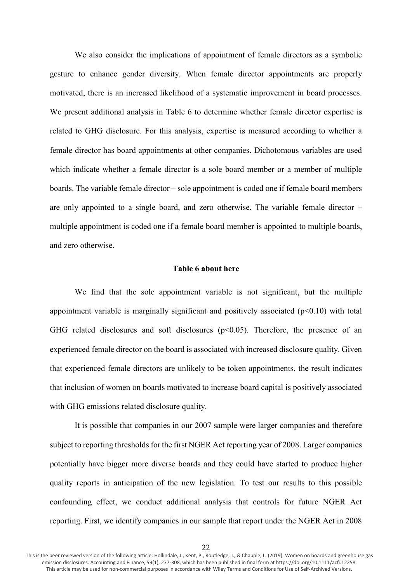We also consider the implications of appointment of female directors as a symbolic gesture to enhance gender diversity. When female director appointments are properly motivated, there is an increased likelihood of a systematic improvement in board processes. We present additional analysis in Table 6 to determine whether female director expertise is related to GHG disclosure. For this analysis, expertise is measured according to whether a female director has board appointments at other companies. Dichotomous variables are used which indicate whether a female director is a sole board member or a member of multiple boards. The variable female director – sole appointment is coded one if female board members are only appointed to a single board, and zero otherwise. The variable female director – multiple appointment is coded one if a female board member is appointed to multiple boards, and zero otherwise.

# **Table 6 about here**

We find that the sole appointment variable is not significant, but the multiple appointment variable is marginally significant and positively associated (p<0.10) with total GHG related disclosures and soft disclosures  $(p<0.05)$ . Therefore, the presence of an experienced female director on the board is associated with increased disclosure quality. Given that experienced female directors are unlikely to be token appointments, the result indicates that inclusion of women on boards motivated to increase board capital is positively associated with GHG emissions related disclosure quality.

It is possible that companies in our 2007 sample were larger companies and therefore subject to reporting thresholds for the first NGER Act reporting year of 2008. Larger companies potentially have bigger more diverse boards and they could have started to produce higher quality reports in anticipation of the new legislation. To test our results to this possible confounding effect, we conduct additional analysis that controls for future NGER Act reporting. First, we identify companies in our sample that report under the NGER Act in 2008

This is the peer reviewed version of the following article: Hollindale, J., Kent, P., Routledge, J., & Chapple, L. (2019). Women on boards and greenhouse gas emission disclosures. Accounting and Finance, 59(1), 277-308, which has been published in final form at https://doi.org/10.1111/acfi.12258. This article may be used for non-commercial purposes in accordance with Wiley Terms and Conditions for Use of Self-Archived Versions.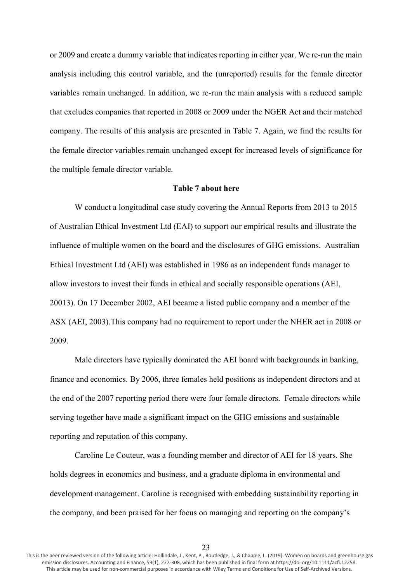or 2009 and create a dummy variable that indicates reporting in either year. We re-run the main analysis including this control variable, and the (unreported) results for the female director variables remain unchanged. In addition, we re-run the main analysis with a reduced sample that excludes companies that reported in 2008 or 2009 under the NGER Act and their matched company. The results of this analysis are presented in Table 7. Again, we find the results for the female director variables remain unchanged except for increased levels of significance for the multiple female director variable.

## **Table 7 about here**

W conduct a longitudinal case study covering the Annual Reports from 2013 to 2015 of Australian Ethical Investment Ltd (EAI) to support our empirical results and illustrate the influence of multiple women on the board and the disclosures of GHG emissions. Australian Ethical Investment Ltd (AEI) was established in 1986 as an independent funds manager to allow investors to invest their funds in ethical and socially responsible operations (AEI, 20013). On 17 December 2002, AEI became a listed public company and a member of the ASX (AEI, 2003).This company had no requirement to report under the NHER act in 2008 or 2009.

Male directors have typically dominated the AEI board with backgrounds in banking, finance and economics. By 2006, three females held positions as independent directors and at the end of the 2007 reporting period there were four female directors. Female directors while serving together have made a significant impact on the GHG emissions and sustainable reporting and reputation of this company.

Caroline Le Couteur, was a founding member and director of AEI for 18 years. She holds degrees in economics and business, and a graduate diploma in environmental and development management. Caroline is recognised with embedding sustainability reporting in the company, and been praised for her focus on managing and reporting on the company's

This is the peer reviewed version of the following article: Hollindale, J., Kent, P., Routledge, J., & Chapple, L. (2019). Women on boards and greenhouse gas emission disclosures. Accounting and Finance, 59(1), 277-308, which has been published in final form at https://doi.org/10.1111/acfi.12258. This article may be used for non-commercial purposes in accordance with Wiley Terms and Conditions for Use of Self-Archived Versions.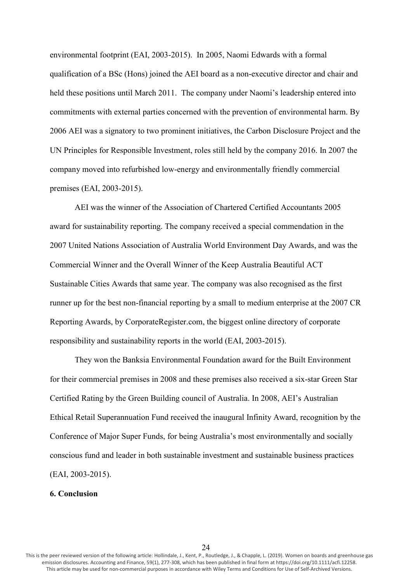environmental footprint (EAI, 2003-2015). In 2005, Naomi Edwards with a formal qualification of a BSc (Hons) joined the AEI board as a non-executive director and chair and held these positions until March 2011. The company under Naomi's leadership entered into commitments with external parties concerned with the prevention of environmental harm. By 2006 AEI was a signatory to two prominent initiatives, the Carbon Disclosure Project and the UN Principles for Responsible Investment, roles still held by the company 2016. In 2007 the company moved into refurbished low-energy and environmentally friendly commercial premises (EAI, 2003-2015).

AEI was the winner of the Association of Chartered Certified Accountants 2005 award for sustainability reporting. The company received a special commendation in the 2007 United Nations Association of Australia World Environment Day Awards, and was the Commercial Winner and the Overall Winner of the Keep Australia Beautiful ACT Sustainable Cities Awards that same year. The company was also recognised as the first runner up for the best non-financial reporting by a small to medium enterprise at the 2007 CR Reporting Awards, by CorporateRegister.com, the biggest online directory of corporate responsibility and sustainability reports in the world (EAI, 2003-2015).

They won the Banksia Environmental Foundation award for the Built Environment for their commercial premises in 2008 and these premises also received a six-star Green Star Certified Rating by the Green Building council of Australia. In 2008, AEI's Australian Ethical Retail Superannuation Fund received the inaugural Infinity Award, recognition by the Conference of Major Super Funds, for being Australia's most environmentally and socially conscious fund and leader in both sustainable investment and sustainable business practices (EAI, 2003-2015).

#### **6. Conclusion**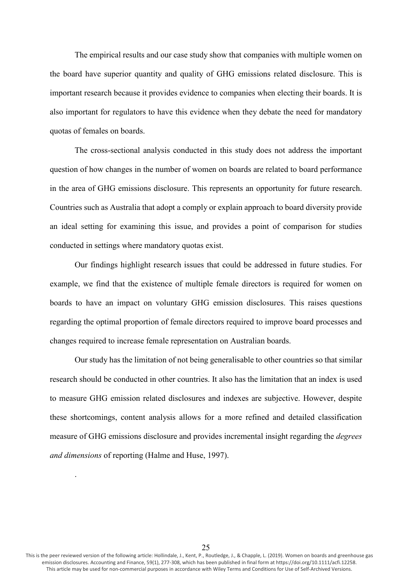The empirical results and our case study show that companies with multiple women on the board have superior quantity and quality of GHG emissions related disclosure. This is important research because it provides evidence to companies when electing their boards. It is also important for regulators to have this evidence when they debate the need for mandatory quotas of females on boards.

The cross-sectional analysis conducted in this study does not address the important question of how changes in the number of women on boards are related to board performance in the area of GHG emissions disclosure. This represents an opportunity for future research. Countries such as Australia that adopt a comply or explain approach to board diversity provide an ideal setting for examining this issue, and provides a point of comparison for studies conducted in settings where mandatory quotas exist.

Our findings highlight research issues that could be addressed in future studies. For example, we find that the existence of multiple female directors is required for women on boards to have an impact on voluntary GHG emission disclosures. This raises questions regarding the optimal proportion of female directors required to improve board processes and changes required to increase female representation on Australian boards.

Our study has the limitation of not being generalisable to other countries so that similar research should be conducted in other countries. It also has the limitation that an index is used to measure GHG emission related disclosures and indexes are subjective. However, despite these shortcomings, content analysis allows for a more refined and detailed classification measure of GHG emissions disclosure and provides incremental insight regarding the *degrees and dimensions* of reporting (Halme and Huse, 1997).

This is the peer reviewed version of the following article: Hollindale, J., Kent, P., Routledge, J., & Chapple, L. (2019). Women on boards and greenhouse gas emission disclosures. Accounting and Finance, 59(1), 277-308, which has been published in final form at https://doi.org/10.1111/acfi.12258. This article may be used for non-commercial purposes in accordance with Wiley Terms and Conditions for Use of Self-Archived Versions.

.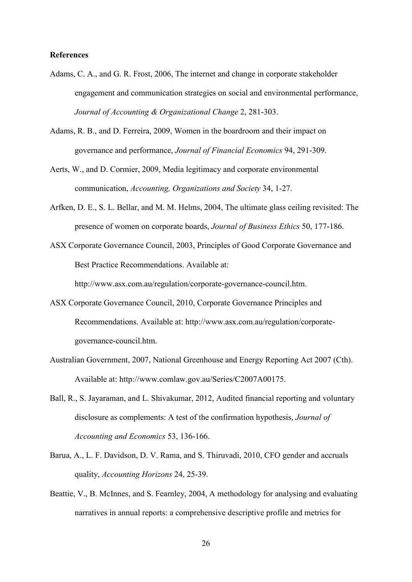## **References**

- Adams, C. A., and G. R. Frost, 2006, The internet and change in corporate stakeholder engagement and communication strategies on social and environmental performance, *Journal of Accounting & Organizational Change* 2, 281-303.
- Adams, R. B., and D. Ferreira, 2009, Women in the boardroom and their impact on governance and performance, *Journal of Financial Economics* 94, 291-309.
- Aerts, W., and D. Cormier, 2009, Media legitimacy and corporate environmental communication, *Accounting, Organizations and Society* 34, 1-27.
- Arfken, D. E., S. L. Bellar, and M. M. Helms, 2004, The ultimate glass ceiling revisited: The presence of women on corporate boards, *Journal of Business Ethics* 50, 177-186.
- ASX Corporate Governance Council, 2003, Principles of Good Corporate Governance and Best Practice Recommendations. Available at:

http://www.asx.com.au/regulation/corporate-governance-council.htm.

- ASX Corporate Governance Council, 2010, Corporate Governance Principles and Recommendations. Available at: http://www.asx.com.au/regulation/corporategovernance-council.htm.
- Australian Government, 2007, National Greenhouse and Energy Reporting Act 2007 (Cth). Available at: http://www.comlaw.gov.au/Series/C2007A00175.
- Ball, R., S. Jayaraman, and L. Shivakumar, 2012, Audited financial reporting and voluntary disclosure as complements: A test of the confirmation hypothesis, *Journal of Accounting and Economics* 53, 136-166.
- Barua, A., L. F. Davidson, D. V. Rama, and S. Thiruvadi, 2010, CFO gender and accruals quality, *Accounting Horizons* 24, 25-39.
- Beattie, V., B. McInnes, and S. Fearnley, 2004, A methodology for analysing and evaluating narratives in annual reports: a comprehensive descriptive profile and metrics for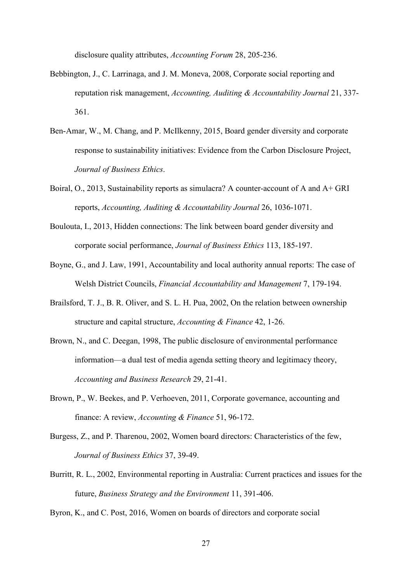disclosure quality attributes, *Accounting Forum* 28, 205-236.

- Bebbington, J., C. Larrinaga, and J. M. Moneva, 2008, Corporate social reporting and reputation risk management, *Accounting, Auditing & Accountability Journal* 21, 337- 361.
- Ben-Amar, W., M. Chang, and P. McIlkenny, 2015, Board gender diversity and corporate response to sustainability initiatives: Evidence from the Carbon Disclosure Project, *Journal of Business Ethics*.
- Boiral, O., 2013, Sustainability reports as simulacra? A counter-account of A and A+ GRI reports, *Accounting, Auditing & Accountability Journal* 26, 1036-1071.
- Boulouta, I., 2013, Hidden connections: The link between board gender diversity and corporate social performance, *Journal of Business Ethics* 113, 185-197.
- Boyne, G., and J. Law, 1991, Accountability and local authority annual reports: The case of Welsh District Councils, *Financial Accountability and Management* 7, 179-194.
- Brailsford, T. J., B. R. Oliver, and S. L. H. Pua, 2002, On the relation between ownership structure and capital structure, *Accounting & Finance* 42, 1-26.
- Brown, N., and C. Deegan, 1998, The public disclosure of environmental performance information—a dual test of media agenda setting theory and legitimacy theory, *Accounting and Business Research* 29, 21-41.
- Brown, P., W. Beekes, and P. Verhoeven, 2011, Corporate governance, accounting and finance: A review, *Accounting & Finance* 51, 96-172.
- Burgess, Z., and P. Tharenou, 2002, Women board directors: Characteristics of the few, *Journal of Business Ethics* 37, 39-49.
- Burritt, R. L., 2002, Environmental reporting in Australia: Current practices and issues for the future, *Business Strategy and the Environment* 11, 391-406.

Byron, K., and C. Post, 2016, Women on boards of directors and corporate social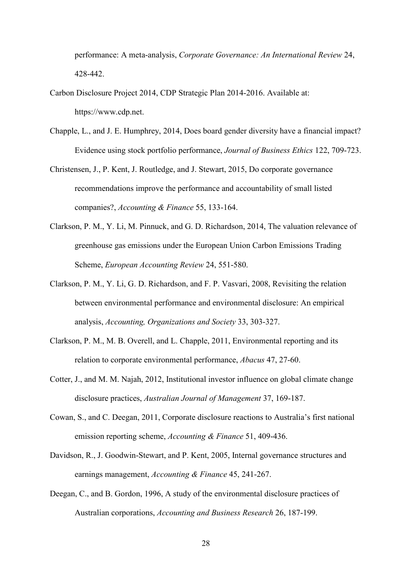performance: A meta-analysis, *Corporate Governance: An International Review* 24, 428-442.

- Carbon Disclosure Project 2014, CDP Strategic Plan 2014-2016. Available at: https://www.cdp.net.
- Chapple, L., and J. E. Humphrey, 2014, Does board gender diversity have a financial impact? Evidence using stock portfolio performance, *Journal of Business Ethics* 122, 709-723.
- Christensen, J., P. Kent, J. Routledge, and J. Stewart, 2015, Do corporate governance recommendations improve the performance and accountability of small listed companies?, *Accounting & Finance* 55, 133-164.
- Clarkson, P. M., Y. Li, M. Pinnuck, and G. D. Richardson, 2014, The valuation relevance of greenhouse gas emissions under the European Union Carbon Emissions Trading Scheme, *European Accounting Review* 24, 551-580.
- Clarkson, P. M., Y. Li, G. D. Richardson, and F. P. Vasvari, 2008, Revisiting the relation between environmental performance and environmental disclosure: An empirical analysis, *Accounting, Organizations and Society* 33, 303-327.
- Clarkson, P. M., M. B. Overell, and L. Chapple, 2011, Environmental reporting and its relation to corporate environmental performance, *Abacus* 47, 27-60.
- Cotter, J., and M. M. Najah, 2012, Institutional investor influence on global climate change disclosure practices, *Australian Journal of Management* 37, 169-187.
- Cowan, S., and C. Deegan, 2011, Corporate disclosure reactions to Australia's first national emission reporting scheme, *Accounting & Finance* 51, 409-436.
- Davidson, R., J. Goodwin-Stewart, and P. Kent, 2005, Internal governance structures and earnings management, *Accounting & Finance* 45, 241-267.
- Deegan, C., and B. Gordon, 1996, A study of the environmental disclosure practices of Australian corporations, *Accounting and Business Research* 26, 187-199.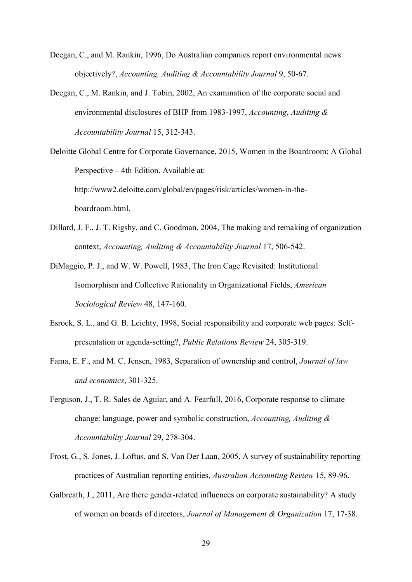- Deegan, C., and M. Rankin, 1996, Do Australian companies report environmental news objectively?, *Accounting, Auditing & Accountability Journal* 9, 50-67.
- Deegan, C., M. Rankin, and J. Tobin, 2002, An examination of the corporate social and environmental disclosures of BHP from 1983-1997, *Accounting, Auditing & Accountability Journal* 15, 312-343.
- Deloitte Global Centre for Corporate Governance, 2015, Women in the Boardroom: A Global Perspective – 4th Edition. Available at: http://www2.deloitte.com/global/en/pages/risk/articles/women-in-theboardroom.html.
- Dillard, J. F., J. T. Rigsby, and C. Goodman, 2004, The making and remaking of organization context, *Accounting, Auditing & Accountability Journal* 17, 506-542.
- DiMaggio, P. J., and W. W. Powell, 1983, The Iron Cage Revisited: Institutional Isomorphism and Collective Rationality in Organizational Fields, *American Sociological Review* 48, 147-160.
- Esrock, S. L., and G. B. Leichty, 1998, Social responsibility and corporate web pages: Selfpresentation or agenda-setting?, *Public Relations Review* 24, 305-319.
- Fama, E. F., and M. C. Jensen, 1983, Separation of ownership and control, *Journal of law and economics*, 301-325.
- Ferguson, J., T. R. Sales de Aguiar, and A. Fearfull, 2016, Corporate response to climate change: language, power and symbolic construction, *Accounting, Auditing & Accountability Journal* 29, 278-304.
- Frost, G., S. Jones, J. Loftus, and S. Van Der Laan, 2005, A survey of sustainability reporting practices of Australian reporting entities, *Australian Accounting Review* 15, 89-96.
- Galbreath, J., 2011, Are there gender-related influences on corporate sustainability? A study of women on boards of directors, *Journal of Management & Organization* 17, 17-38.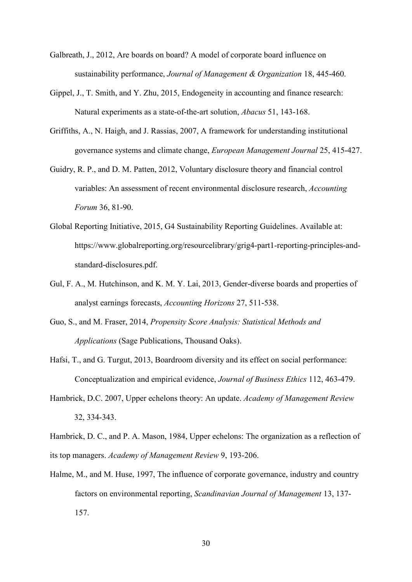- Galbreath, J., 2012, Are boards on board? A model of corporate board influence on sustainability performance, *Journal of Management & Organization* 18, 445-460.
- Gippel, J., T. Smith, and Y. Zhu, 2015, Endogeneity in accounting and finance research: Natural experiments as a state-of-the-art solution, *Abacus* 51, 143-168.
- Griffiths, A., N. Haigh, and J. Rassias, 2007, A framework for understanding institutional governance systems and climate change, *European Management Journal* 25, 415-427.
- Guidry, R. P., and D. M. Patten, 2012, Voluntary disclosure theory and financial control variables: An assessment of recent environmental disclosure research, *Accounting Forum* 36, 81-90.
- Global Reporting Initiative, 2015, G4 Sustainability Reporting Guidelines. Available at: https://www.globalreporting.org/resourcelibrary/grig4-part1-reporting-principles-andstandard-disclosures.pdf.
- Gul, F. A., M. Hutchinson, and K. M. Y. Lai, 2013, Gender-diverse boards and properties of analyst earnings forecasts, *Accounting Horizons* 27, 511-538.
- Guo, S., and M. Fraser, 2014, *Propensity Score Analysis: Statistical Methods and Applications* (Sage Publications, Thousand Oaks).
- Hafsi, T., and G. Turgut, 2013, Boardroom diversity and its effect on social performance: Conceptualization and empirical evidence, *Journal of Business Ethics* 112, 463-479.
- Hambrick, D.C. 2007, Upper echelons theory: An update. *Academy of Management Review* 32, 334-343.
- Hambrick, D. C., and P. A. Mason, 1984, Upper echelons: The organization as a reflection of its top managers. *Academy of Management Review* 9, 193-206.
- Halme, M., and M. Huse, 1997, The influence of corporate governance, industry and country factors on environmental reporting, *Scandinavian Journal of Management* 13, 137- 157.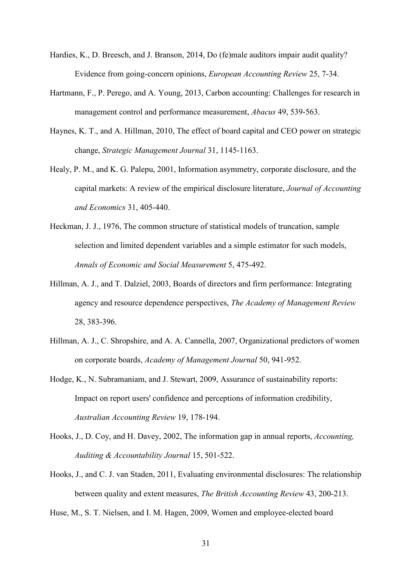- Hardies, K., D. Breesch, and J. Branson, 2014, Do (fe)male auditors impair audit quality? Evidence from going-concern opinions, *European Accounting Review* 25, 7-34.
- Hartmann, F., P. Perego, and A. Young, 2013, Carbon accounting: Challenges for research in management control and performance measurement, *Abacus* 49, 539-563.
- Haynes, K. T., and A. Hillman, 2010, The effect of board capital and CEO power on strategic change, *Strategic Management Journal* 31, 1145-1163.
- Healy, P. M., and K. G. Palepu, 2001, Information asymmetry, corporate disclosure, and the capital markets: A review of the empirical disclosure literature, *Journal of Accounting and Economics* 31, 405-440.
- Heckman, J. J., 1976, The common structure of statistical models of truncation, sample selection and limited dependent variables and a simple estimator for such models, *Annals of Economic and Social Measurement* 5, 475-492.
- Hillman, A. J., and T. Dalziel, 2003, Boards of directors and firm performance: Integrating agency and resource dependence perspectives, *The Academy of Management Review* 28, 383-396.
- Hillman, A. J., C. Shropshire, and A. A. Cannella, 2007, Organizational predictors of women on corporate boards, *Academy of Management Journal* 50, 941-952.
- Hodge, K., N. Subramaniam, and J. Stewart, 2009, Assurance of sustainability reports: Impact on report users' confidence and perceptions of information credibility, *Australian Accounting Review* 19, 178-194.
- Hooks, J., D. Coy, and H. Davey, 2002, The information gap in annual reports, *Accounting, Auditing & Accountability Journal* 15, 501-522.
- Hooks, J., and C. J. van Staden, 2011, Evaluating environmental disclosures: The relationship between quality and extent measures, *The British Accounting Review* 43, 200-213.

Huse, M., S. T. Nielsen, and I. M. Hagen, 2009, Women and employee-elected board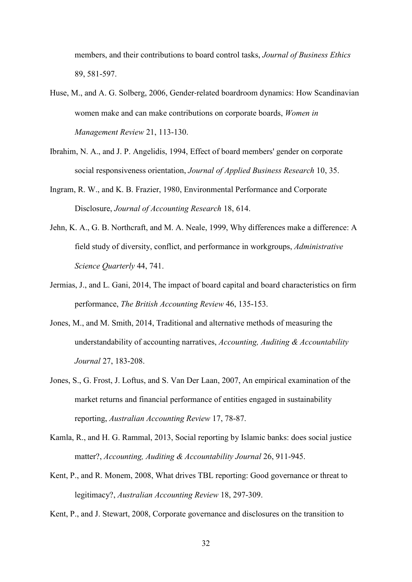members, and their contributions to board control tasks, *Journal of Business Ethics* 89, 581-597.

- Huse, M., and A. G. Solberg, 2006, Gender-related boardroom dynamics: How Scandinavian women make and can make contributions on corporate boards, *Women in Management Review* 21, 113-130.
- Ibrahim, N. A., and J. P. Angelidis, 1994, Effect of board members' gender on corporate social responsiveness orientation, *Journal of Applied Business Research* 10, 35.
- Ingram, R. W., and K. B. Frazier, 1980, Environmental Performance and Corporate Disclosure, *Journal of Accounting Research* 18, 614.
- Jehn, K. A., G. B. Northcraft, and M. A. Neale, 1999, Why differences make a difference: A field study of diversity, conflict, and performance in workgroups, *Administrative Science Quarterly* 44, 741.
- Jermias, J., and L. Gani, 2014, The impact of board capital and board characteristics on firm performance, *The British Accounting Review* 46, 135-153.
- Jones, M., and M. Smith, 2014, Traditional and alternative methods of measuring the understandability of accounting narratives, *Accounting, Auditing & Accountability Journal* 27, 183-208.
- Jones, S., G. Frost, J. Loftus, and S. Van Der Laan, 2007, An empirical examination of the market returns and financial performance of entities engaged in sustainability reporting, *Australian Accounting Review* 17, 78-87.
- Kamla, R., and H. G. Rammal, 2013, Social reporting by Islamic banks: does social justice matter?, *Accounting, Auditing & Accountability Journal* 26, 911-945.
- Kent, P., and R. Monem, 2008, What drives TBL reporting: Good governance or threat to legitimacy?, *Australian Accounting Review* 18, 297-309.

Kent, P., and J. Stewart, 2008, Corporate governance and disclosures on the transition to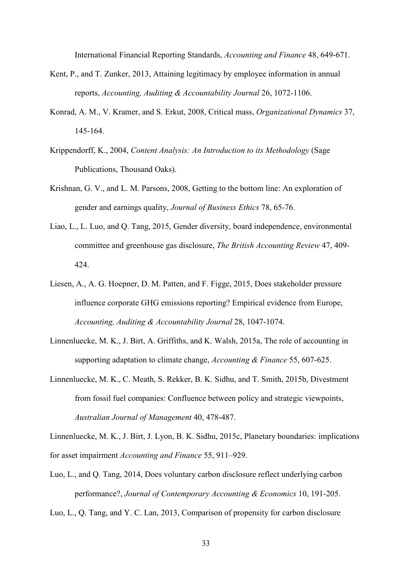International Financial Reporting Standards, *Accounting and Finance* 48, 649-671.

- Kent, P., and T. Zunker, 2013, Attaining legitimacy by employee information in annual reports, *Accounting, Auditing & Accountability Journal* 26, 1072-1106.
- Konrad, A. M., V. Kramer, and S. Erkut, 2008, Critical mass, *Organizational Dynamics* 37, 145-164.
- Krippendorff, K., 2004, *Content Analysis: An Introduction to its Methodology* (Sage Publications, Thousand Oaks).
- Krishnan, G. V., and L. M. Parsons, 2008, Getting to the bottom line: An exploration of gender and earnings quality, *Journal of Business Ethics* 78, 65-76.
- Liao, L., L. Luo, and Q. Tang, 2015, Gender diversity, board independence, environmental committee and greenhouse gas disclosure, *The British Accounting Review* 47, 409- 424.
- Liesen, A., A. G. Hoepner, D. M. Patten, and F. Figge, 2015, Does stakeholder pressure influence corporate GHG emissions reporting? Empirical evidence from Europe, *Accounting, Auditing & Accountability Journal* 28, 1047-1074.
- Linnenluecke, M. K., J. Birt, A. Griffiths, and K. Walsh, 2015a, The role of accounting in supporting adaptation to climate change, *Accounting & Finance* 55, 607-625.
- Linnenluecke, M. K., C. Meath, S. Rekker, B. K. Sidhu, and T. Smith, 2015b, Divestment from fossil fuel companies: Confluence between policy and strategic viewpoints, *Australian Journal of Management* 40, 478-487.

Linnenluecke, M. K., J. Birt, J. Lyon, B. K. Sidhu, 2015c, Planetary boundaries: implications for asset impairment *Accounting and Finance* 55, 911–929.

Luo, L., and Q. Tang, 2014, Does voluntary carbon disclosure reflect underlying carbon performance?, *Journal of Contemporary Accounting & Economics* 10, 191-205.

Luo, L., Q. Tang, and Y. C. Lan, 2013, Comparison of propensity for carbon disclosure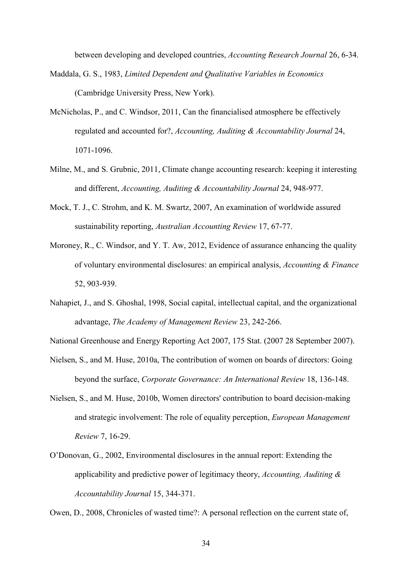between developing and developed countries, *Accounting Research Journal* 26, 6-34.

- Maddala, G. S., 1983, *Limited Dependent and Qualitative Variables in Economics* (Cambridge University Press, New York).
- McNicholas, P., and C. Windsor, 2011, Can the financialised atmosphere be effectively regulated and accounted for?, *Accounting, Auditing & Accountability Journal* 24, 1071-1096.
- Milne, M., and S. Grubnic, 2011, Climate change accounting research: keeping it interesting and different, *Accounting, Auditing & Accountability Journal* 24, 948-977.
- Mock, T. J., C. Strohm, and K. M. Swartz, 2007, An examination of worldwide assured sustainability reporting, *Australian Accounting Review* 17, 67-77.
- Moroney, R., C. Windsor, and Y. T. Aw, 2012, Evidence of assurance enhancing the quality of voluntary environmental disclosures: an empirical analysis, *Accounting & Finance* 52, 903-939.
- Nahapiet, J., and S. Ghoshal, 1998, Social capital, intellectual capital, and the organizational advantage, *The Academy of Management Review* 23, 242-266.

National Greenhouse and Energy Reporting Act 2007, 175 Stat. (2007 28 September 2007).

- Nielsen, S., and M. Huse, 2010a, The contribution of women on boards of directors: Going beyond the surface, *Corporate Governance: An International Review* 18, 136-148.
- Nielsen, S., and M. Huse, 2010b, Women directors' contribution to board decision-making and strategic involvement: The role of equality perception, *European Management Review* 7, 16-29.
- O'Donovan, G., 2002, Environmental disclosures in the annual report: Extending the applicability and predictive power of legitimacy theory, *Accounting, Auditing & Accountability Journal* 15, 344-371.

Owen, D., 2008, Chronicles of wasted time?: A personal reflection on the current state of,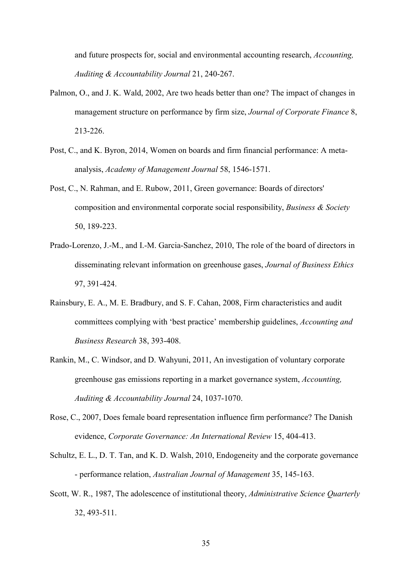and future prospects for, social and environmental accounting research, *Accounting, Auditing & Accountability Journal* 21, 240-267.

- Palmon, O., and J. K. Wald, 2002, Are two heads better than one? The impact of changes in management structure on performance by firm size, *Journal of Corporate Finance* 8, 213-226.
- Post, C., and K. Byron, 2014, Women on boards and firm financial performance: A metaanalysis, *Academy of Management Journal* 58, 1546-1571.
- Post, C., N. Rahman, and E. Rubow, 2011, Green governance: Boards of directors' composition and environmental corporate social responsibility, *Business & Society* 50, 189-223.
- Prado-Lorenzo, J.-M., and I.-M. Garcia-Sanchez, 2010, The role of the board of directors in disseminating relevant information on greenhouse gases, *Journal of Business Ethics* 97, 391-424.
- Rainsbury, E. A., M. E. Bradbury, and S. F. Cahan, 2008, Firm characteristics and audit committees complying with 'best practice' membership guidelines, *Accounting and Business Research* 38, 393-408.
- Rankin, M., C. Windsor, and D. Wahyuni, 2011, An investigation of voluntary corporate greenhouse gas emissions reporting in a market governance system, *Accounting, Auditing & Accountability Journal* 24, 1037-1070.
- Rose, C., 2007, Does female board representation influence firm performance? The Danish evidence, *Corporate Governance: An International Review* 15, 404-413.
- Schultz, E. L., D. T. Tan, and K. D. Walsh, 2010, Endogeneity and the corporate governance - performance relation, *Australian Journal of Management* 35, 145-163.
- Scott, W. R., 1987, The adolescence of institutional theory, *Administrative Science Quarterly* 32, 493-511.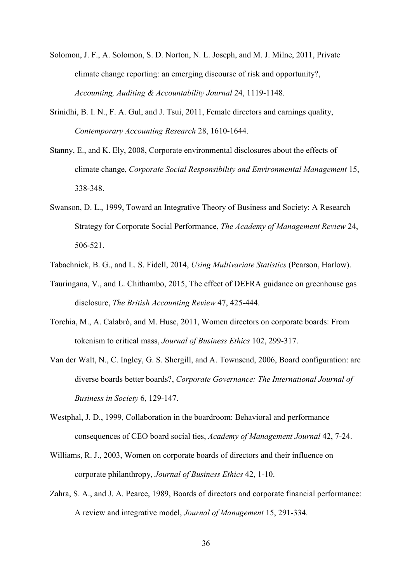- Solomon, J. F., A. Solomon, S. D. Norton, N. L. Joseph, and M. J. Milne, 2011, Private climate change reporting: an emerging discourse of risk and opportunity?, *Accounting, Auditing & Accountability Journal* 24, 1119-1148.
- Srinidhi, B. I. N., F. A. Gul, and J. Tsui, 2011, Female directors and earnings quality, *Contemporary Accounting Research* 28, 1610-1644.
- Stanny, E., and K. Ely, 2008, Corporate environmental disclosures about the effects of climate change, *Corporate Social Responsibility and Environmental Management* 15, 338-348.
- Swanson, D. L., 1999, Toward an Integrative Theory of Business and Society: A Research Strategy for Corporate Social Performance, *The Academy of Management Review* 24, 506-521.
- Tabachnick, B. G., and L. S. Fidell, 2014, *Using Multivariate Statistics* (Pearson, Harlow).
- Tauringana, V., and L. Chithambo, 2015, The effect of DEFRA guidance on greenhouse gas disclosure, *The British Accounting Review* 47, 425-444.
- Torchia, M., A. Calabrò, and M. Huse, 2011, Women directors on corporate boards: From tokenism to critical mass, *Journal of Business Ethics* 102, 299-317.
- Van der Walt, N., C. Ingley, G. S. Shergill, and A. Townsend, 2006, Board configuration: are diverse boards better boards?, *Corporate Governance: The International Journal of Business in Society* 6, 129-147.
- Westphal, J. D., 1999, Collaboration in the boardroom: Behavioral and performance consequences of CEO board social ties, *Academy of Management Journal* 42, 7-24.
- Williams, R. J., 2003, Women on corporate boards of directors and their influence on corporate philanthropy, *Journal of Business Ethics* 42, 1-10.
- Zahra, S. A., and J. A. Pearce, 1989, Boards of directors and corporate financial performance: A review and integrative model, *Journal of Management* 15, 291-334.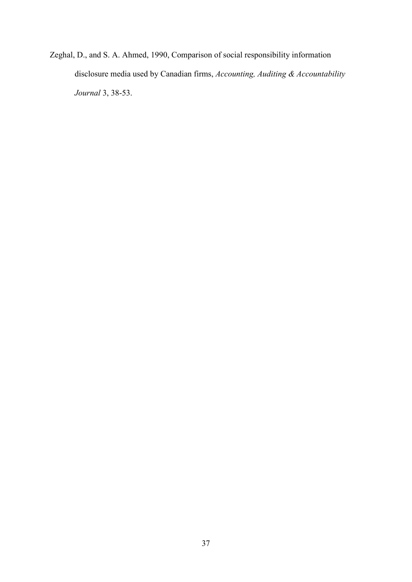Zeghal, D., and S. A. Ahmed, 1990, Comparison of social responsibility information disclosure media used by Canadian firms, *Accounting, Auditing & Accountability Journal* 3, 38-53.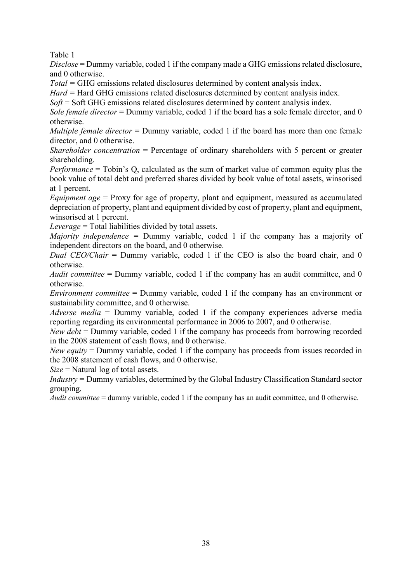Table 1

*Disclose* = Dummy variable, coded 1 if the company made a GHG emissions related disclosure, and 0 otherwise.

*Total =* GHG emissions related disclosures determined by content analysis index.

*Hard =* Hard GHG emissions related disclosures determined by content analysis index.

*Soft* = Soft GHG emissions related disclosures determined by content analysis index.

*Sole female director* = Dummy variable, coded 1 if the board has a sole female director, and 0 otherwise.

*Multiple female director* = Dummy variable, coded 1 if the board has more than one female director, and 0 otherwise.

*Shareholder concentration* = Percentage of ordinary shareholders with 5 percent or greater shareholding.

*Performance* = Tobin's Q, calculated as the sum of market value of common equity plus the book value of total debt and preferred shares divided by book value of total assets, winsorised at 1 percent.

*Equipment age* = Proxy for age of property, plant and equipment, measured as accumulated depreciation of property, plant and equipment divided by cost of property, plant and equipment, winsorised at 1 percent.

*Leverage* = Total liabilities divided by total assets.

*Majority independence =* Dummy variable, coded 1 if the company has a majority of independent directors on the board, and 0 otherwise.

*Dual CEO/Chair* = Dummy variable, coded 1 if the CEO is also the board chair, and 0 otherwise.

*Audit committee* = Dummy variable, coded 1 if the company has an audit committee, and 0 otherwise.

*Environment committee* = Dummy variable, coded 1 if the company has an environment or sustainability committee, and 0 otherwise.

*Adverse media* = Dummy variable, coded 1 if the company experiences adverse media reporting regarding its environmental performance in 2006 to 2007, and 0 otherwise.

*New debt* = Dummy variable, coded 1 if the company has proceeds from borrowing recorded in the 2008 statement of cash flows, and 0 otherwise.

*New equity* = Dummy variable, coded 1 if the company has proceeds from issues recorded in the 2008 statement of cash flows, and 0 otherwise.

*Size* = Natural log of total assets.

*Industry =* Dummy variables, determined by the Global Industry Classification Standard sector grouping.

*Audit committee* = dummy variable, coded 1 if the company has an audit committee, and 0 otherwise.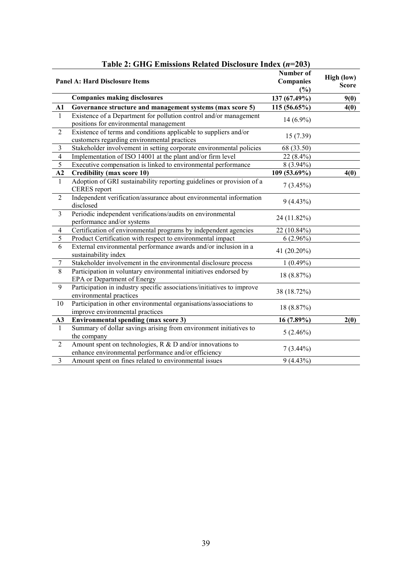|                | <b>Panel A: Hard Disclosure Items</b>                                                                            | Number of<br>Companies<br>(%) | High (low)<br><b>Score</b> |
|----------------|------------------------------------------------------------------------------------------------------------------|-------------------------------|----------------------------|
|                | <b>Companies making disclosures</b>                                                                              | 137 (67.49%)                  | 9(0)                       |
| ${\bf A1}$     | Governance structure and management systems (max score 5)                                                        | 115(56.65%)                   | 4(0)                       |
| 1              | Existence of a Department for pollution control and/or management<br>positions for environmental management      | $14(6.9\%)$                   |                            |
| $\overline{2}$ | Existence of terms and conditions applicable to suppliers and/or<br>customers regarding environmental practices  | 15(7.39)                      |                            |
| 3              | Stakeholder involvement in setting corporate environmental policies                                              | 68 (33.50)                    |                            |
| $\overline{4}$ | Implementation of ISO 14001 at the plant and/or firm level                                                       | 22 (8.4%)                     |                            |
| $\sqrt{5}$     | Executive compensation is linked to environmental performance                                                    | $8(3.94\%)$                   |                            |
| A2             | <b>Credibility (max score 10)</b>                                                                                | 109 (53.69%)                  | 4(0)                       |
| $\mathbf{1}$   | Adoption of GRI sustainability reporting guidelines or provision of a<br><b>CERES</b> report                     | $7(3.45\%)$                   |                            |
| $\overline{2}$ | Independent verification/assurance about environmental information<br>disclosed                                  | $9(4.43\%)$                   |                            |
| $\overline{3}$ | Periodic independent verifications/audits on environmental<br>performance and/or systems                         | 24 (11.82%)                   |                            |
| $\overline{4}$ | Certification of environmental programs by independent agencies                                                  | 22 (10.84%)                   |                            |
| 5              | Product Certification with respect to environmental impact                                                       | $6(2.96\%)$                   |                            |
| 6              | External environmental performance awards and/or inclusion in a<br>sustainability index                          | 41 (20.20%)                   |                            |
| $\tau$         | Stakeholder involvement in the environmental disclosure process                                                  | $1(0.49\%)$                   |                            |
| $8\,$          | Participation in voluntary environmental initiatives endorsed by<br>EPA or Department of Energy                  | 18 (8.87%)                    |                            |
| 9              | Participation in industry specific associations/initiatives to improve<br>environmental practices                | 38 (18.72%)                   |                            |
| 10             | Participation in other environmental organisations/associations to<br>improve environmental practices            | 18 (8.87%)                    |                            |
| A3             | <b>Environmental spending (max score 3)</b>                                                                      | $16(7.89\%)$                  | 2(0)                       |
| 1              | Summary of dollar savings arising from environment initiatives to<br>the company                                 | $5(2.46\%)$                   |                            |
| $\overline{2}$ | Amount spent on technologies, R & D and/or innovations to<br>enhance environmental performance and/or efficiency | $7(3.44\%)$                   |                            |
| 3              | Amount spent on fines related to environmental issues                                                            | $9(4.43\%)$                   |                            |

## **Table 2: GHG Emissions Related Disclosure Index (***n***=203)**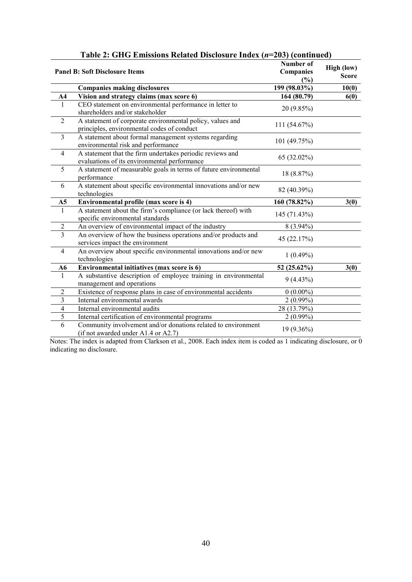|                         | <b>Favic 2. OTTO EMISSIONS INTIALLY DISCIOSULUTIONS</b> $(n-20J)$ (Continuuty)                            |                                      |                            |
|-------------------------|-----------------------------------------------------------------------------------------------------------|--------------------------------------|----------------------------|
|                         | <b>Panel B: Soft Disclosure Items</b>                                                                     | Number of<br><b>Companies</b><br>(%) | High (low)<br><b>Score</b> |
|                         | <b>Companies making disclosures</b>                                                                       | 199 (98.03%)                         | 10(0)                      |
| A <sub>4</sub>          | Vision and strategy claims (max score 6)                                                                  | 164 (80.79)                          | 6(0)                       |
| $\mathbf{1}$            | CEO statement on environmental performance in letter to<br>shareholders and/or stakeholder                | 20 (9.85%)                           |                            |
| $\overline{2}$          | A statement of corporate environmental policy, values and<br>principles, environmental codes of conduct   | 111 (54.67%)                         |                            |
| $\overline{3}$          | A statement about formal management systems regarding<br>environmental risk and performance               | 101 (49.75%)                         |                            |
| $\overline{4}$          | A statement that the firm undertakes periodic reviews and<br>evaluations of its environmental performance | 65 (32.02%)                          |                            |
| 5                       | A statement of measurable goals in terms of future environmental<br>performance                           | 18 (8.87%)                           |                            |
| 6                       | A statement about specific environmental innovations and/or new<br>technologies                           | 82 (40.39%)                          |                            |
| A <sub>5</sub>          | Environmental profile (max score is 4)                                                                    | 160 (78.82%)                         | 3(0)                       |
| $\mathbf{1}$            | A statement about the firm's compliance (or lack thereof) with<br>specific environmental standards        | 145 (71.43%)                         |                            |
| $\overline{c}$          | An overview of environmental impact of the industry                                                       | $8(3.94\%)$                          |                            |
| $\overline{3}$          | An overview of how the business operations and/or products and<br>services impact the environment         | 45 (22.17%)                          |                            |
| $\overline{4}$          | An overview about specific environmental innovations and/or new<br>technologies                           | $1(0.49\%)$                          |                            |
| A6                      | Environmental initiatives (max score is 6)                                                                | 52 (25.62%)                          | 3(0)                       |
| $\mathbf{1}$            | A substantive description of employee training in environmental<br>management and operations              | $9(4.43\%)$                          |                            |
| $\overline{2}$          | Existence of response plans in case of environmental accidents                                            | $0(0.00\%)$                          |                            |
| $\overline{\mathbf{3}}$ | Internal environmental awards                                                                             | $2(0.99\%)$                          |                            |
| $\overline{4}$          | Internal environmental audits                                                                             | 28 (13.79%)                          |                            |
| 5                       | Internal certification of environmental programs                                                          | $2(0.99\%)$                          |                            |
| 6                       | Community involvement and/or donations related to environment<br>(if not awarded under A1.4 or A2.7)      | 19 (9.36%)                           |                            |

Notes: The index is adapted from Clarkson et al., 2008. Each index item is coded as 1 indicating disclosure, or 0 indicating no disclosure.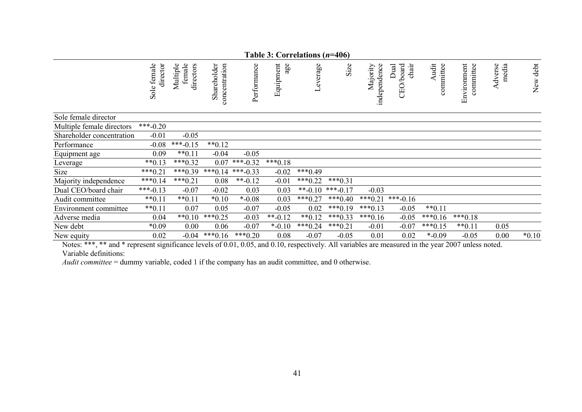|                           |                             |                                 |                                   |             | Table 3: Correlations $(n=406)$ |           |            |                          |                                 |                    |                          |                  |          |
|---------------------------|-----------------------------|---------------------------------|-----------------------------------|-------------|---------------------------------|-----------|------------|--------------------------|---------------------------------|--------------------|--------------------------|------------------|----------|
|                           | female<br>director<br>Sole: | directors<br>female<br>Multiple | Shareholder<br>entration<br>comce | Performance | Equipment<br>age                | Leverage  | Size       | independence<br>Majority | chair<br>/board<br>Dual<br>CEO. | Audit<br>committee | Environment<br>committee | Adverse<br>media | New debt |
| Sole female director      |                             |                                 |                                   |             |                                 |           |            |                          |                                 |                    |                          |                  |          |
| Multiple female directors | $***-0.20$                  |                                 |                                   |             |                                 |           |            |                          |                                 |                    |                          |                  |          |
| Shareholder concentration | $-0.01$                     | $-0.05$                         |                                   |             |                                 |           |            |                          |                                 |                    |                          |                  |          |
| Performance               | $-0.08$                     | $***-0.15$                      | $**0.12$                          |             |                                 |           |            |                          |                                 |                    |                          |                  |          |
| Equipment age             | 0.09                        | $**0.11$                        | $-0.04$                           | $-0.05$     |                                 |           |            |                          |                                 |                    |                          |                  |          |
| Leverage                  | $**0.13$                    | $***0.32$                       | 0.07                              | $***-0.32$  | $***0.18$                       |           |            |                          |                                 |                    |                          |                  |          |
| Size                      | $***0.21$                   | $***0.39$                       | $***0.14$                         | ***-0.33    | $-0.02$                         | $***0.49$ |            |                          |                                 |                    |                          |                  |          |
| Majority independence     | $***0.14$                   | $***0.21$                       | 0.08                              | $*$ -0.12   | $-0.01$                         | $***0.22$ | $***0.31$  |                          |                                 |                    |                          |                  |          |
| Dual CEO/board chair      | ***-0.13                    | $-0.07$                         | $-0.02$                           | 0.03        | 0.03                            | $**-0.10$ | $***-0.17$ | $-0.03$                  |                                 |                    |                          |                  |          |
| Audit committee           | $**0.11$                    | $**0.11$                        | $*0.10$                           | $* -0.08$   | 0.03                            | $***0.27$ | $***0.40$  | $***0.21$                | $***-0.16$                      |                    |                          |                  |          |
| Environment committee     | $**0.11$                    | 0.07                            | 0.05                              | $-0.07$     | $-0.05$                         | 0.02      | $***0.19$  | $***0.13$                | $-0.05$                         | $**0.11$           |                          |                  |          |
| Adverse media             | 0.04                        | $**0.10$                        | $***0.25$                         | $-0.03$     | $**-0.12$                       | $**0.12$  | $***0.33$  | $***0.16$                | $-0.05$                         | $***0.16$          | $***0.18$                |                  |          |
| New debt                  | $*0.09$                     | 0.00                            | 0.06                              | $-0.07$     | $* -0.10$                       | $***0.24$ | $***0.21$  | $-0.01$                  | $-0.07$                         | $***0.15$          | $**0.11$                 | 0.05             |          |
| New equity                | 0.02                        | $-0.04$                         | $***0.16$                         | $***0.20$   | 0.08                            | $-0.07$   | $-0.05$    | 0.01                     | 0.02                            | $* -0.09$          | $-0.05$                  | 0.00             | $*0.10$  |

Notes: \*\*\*, \*\* and \* represent significance levels of 0.01, 0.05, and 0.10, respectively. All variables are measured in the year 2007 unless noted. Variable definitions:

*Audit committee* = dummy variable, coded 1 if the company has an audit committee, and 0 otherwise.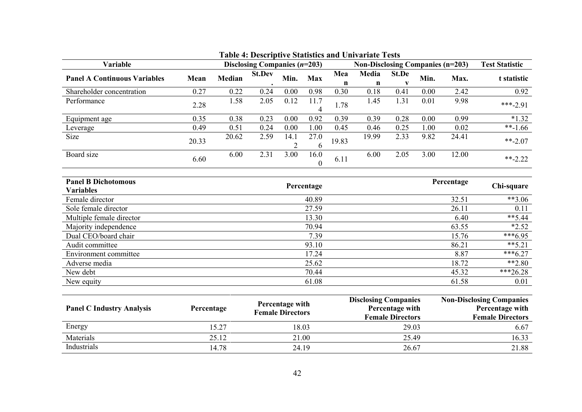| Variable                                       |       |        | Disclosing Companies $(n=203)$ |                        |                  |          | Non-Disclosing Companies (n=203) | <b>Test Statistic</b> |      |            |             |
|------------------------------------------------|-------|--------|--------------------------------|------------------------|------------------|----------|----------------------------------|-----------------------|------|------------|-------------|
| <b>Panel A Continuous Variables</b>            | Mean  | Median | <b>St.Dev</b>                  | Min.                   | <b>Max</b>       | Mea<br>n | Media<br>$\mathbf n$             | St.De                 | Min. | Max.       | t statistic |
| Shareholder concentration                      | 0.27  | 0.22   | 0.24                           | 0.00                   | 0.98             | 0.30     | 0.18                             | 0.41                  | 0.00 | 2.42       | 0.92        |
| Performance                                    | 2.28  | 1.58   | 2.05                           | 0.12                   | 11.7<br>4        | 1.78     | 1.45                             | 1.31                  | 0.01 | 9.98       | $***-2.91$  |
| Equipment age                                  | 0.35  | 0.38   | 0.23                           | 0.00                   | 0.92             | 0.39     | 0.39                             | 0.28                  | 0.00 | 0.99       | $*1.32$     |
| Leverage                                       | 0.49  | 0.51   | 0.24                           | 0.00                   | 1.00             | 0.45     | 0.46                             | 0.25                  | 1.00 | 0.02       | $**-1.66$   |
| Size                                           | 20.33 | 20.62  | 2.59                           | 14.1<br>$\overline{2}$ | 27.0<br>6        | 19.83    | 19.99                            | 2.33                  | 9.82 | 24.41      | $***-2.07$  |
| Board size                                     | 6.60  | 6.00   | 2.31                           | 3.00                   | 16.0<br>$\theta$ | 6.11     | 6.00                             | 2.05                  | 3.00 | 12.00      | $***-2.22$  |
| <b>Panel B Dichotomous</b><br><b>Variables</b> |       |        |                                |                        | Percentage       |          |                                  |                       |      | Percentage | Chi-square  |
| Female director                                |       |        |                                |                        | 40.89            |          |                                  |                       |      | 32.51      | $**3.06$    |
| Sole female director                           |       |        |                                |                        | 27.59            |          |                                  |                       |      | 26.11      | 0.11        |
| Multiple female director                       |       |        |                                |                        | 13.30            |          |                                  |                       |      | 6.40       | $**$ 5.44   |
| Majority independence                          |       |        |                                |                        | 70.94            |          |                                  |                       |      | 63.55      | $*2.52$     |
| Dual CEO/board chair                           |       |        |                                |                        | 7.39             |          |                                  |                       |      | 15.76      | $***6.95$   |
| Audit committee                                |       |        |                                |                        | 93.10            |          |                                  |                       |      | 86.21      | $*** 5.21$  |
| Environment committee                          |       |        |                                |                        | 17.24            |          |                                  |                       |      | 8.87       | $***6.27$   |
| Adverse media                                  |       |        |                                |                        | 25.62            |          |                                  |                       |      | 18.72      | $**2.80$    |
| New debt                                       |       |        |                                |                        | 70.44            |          |                                  |                       |      | 45.32      | $***26.28$  |
| New equity                                     |       |        |                                |                        | 61.08            |          |                                  |                       |      | 61.58      | 0.01        |
|                                                |       |        |                                |                        |                  |          |                                  |                       |      |            |             |

| <b>Panel C Industry Analysis</b> | Percentage | Percentage with<br><b>Female Directors</b> | <b>Disclosing Companies</b><br>Percentage with<br><b>Female Directors</b> | <b>Non-Disclosing Companies</b><br>Percentage with<br><b>Female Directors</b> |
|----------------------------------|------------|--------------------------------------------|---------------------------------------------------------------------------|-------------------------------------------------------------------------------|
| Energy                           | 15.27      | 18.03                                      | 29.03                                                                     | 6.67                                                                          |
| Materials                        | 25.12      | 21.00                                      | 25.49                                                                     | 16.33                                                                         |
| Industrials                      | 14.78      | 24.19                                      | 26.67                                                                     | 21.88                                                                         |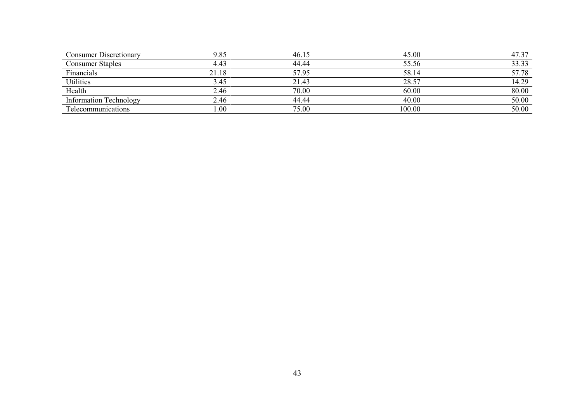| <b>Consumer Discretionary</b> | 9.85  | 46.15 | 45.00  | 47.37 |
|-------------------------------|-------|-------|--------|-------|
| <b>Consumer Staples</b>       | 4.43  | 44.44 | 55.56  | 33.33 |
| Financials                    | 21.18 | 57.95 | 58.14  | 57.78 |
| <b>Utilities</b>              | 3.45  | 21.43 | 28.57  | 14.29 |
| Health                        | 2.46  | 70.00 | 60.00  | 80.00 |
| <b>Information Technology</b> | 2.46  | 44.44 | 40.00  | 50.00 |
| Telecommunications            | 00.1  | 75.00 | 100.00 | 50.00 |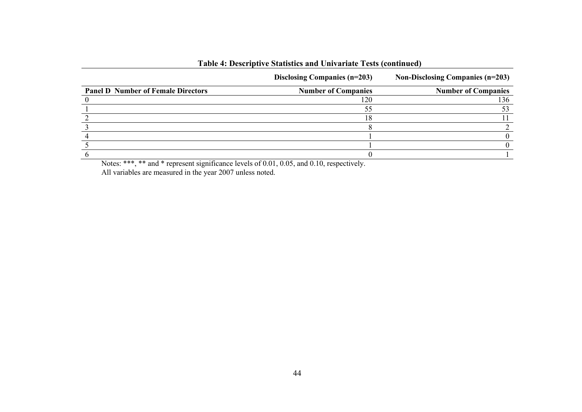|                                           | Disclosing Companies (n=203) | <b>Non-Disclosing Companies (n=203)</b> |
|-------------------------------------------|------------------------------|-----------------------------------------|
| <b>Panel D Number of Female Directors</b> | <b>Number of Companies</b>   | <b>Number of Companies</b>              |
|                                           |                              | 136                                     |
|                                           |                              |                                         |
|                                           |                              |                                         |
|                                           |                              |                                         |
|                                           |                              |                                         |
|                                           |                              |                                         |
|                                           |                              |                                         |

# **Table 4: Descriptive Statistics and Univariate Tests (continued)**

Notes: \*\*\*, \*\* and \* represent significance levels of 0.01, 0.05, and 0.10, respectively. All variables are measured in the year 2007 unless noted.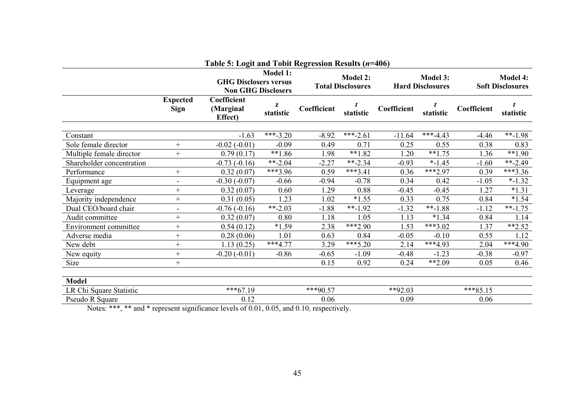|                                                                                                                                                                                                                                      |                                | Table 5: Logit and Tobit Regression Results (n=406)       |                 |             |                                             |             |                                            |             |                                            |  |
|--------------------------------------------------------------------------------------------------------------------------------------------------------------------------------------------------------------------------------------|--------------------------------|-----------------------------------------------------------|-----------------|-------------|---------------------------------------------|-------------|--------------------------------------------|-------------|--------------------------------------------|--|
|                                                                                                                                                                                                                                      |                                | <b>GHG Disclosers versus</b><br><b>Non GHG Disclosers</b> | <b>Model 1:</b> |             | <b>Model 2:</b><br><b>Total Disclosures</b> |             | <b>Model 3:</b><br><b>Hard Disclosures</b> |             | <b>Model 4:</b><br><b>Soft Disclosures</b> |  |
|                                                                                                                                                                                                                                      | <b>Expected</b><br><b>Sign</b> | Coefficient<br>(Marginal<br>Effect)                       | z<br>statistic  | Coefficient | statistic                                   | Coefficient | statistic                                  | Coefficient | statistic                                  |  |
|                                                                                                                                                                                                                                      |                                |                                                           | ***-3.20        |             | ***-2.61                                    |             | $***-4.43$                                 | $-4.46$     | $***-1.98$                                 |  |
| Constant                                                                                                                                                                                                                             |                                | $-1.63$                                                   |                 | $-8.92$     |                                             | $-11.64$    |                                            |             |                                            |  |
| Sole female director                                                                                                                                                                                                                 | $^{+}$                         | $-0.02(-0.01)$                                            | $-0.09$         | 0.49        | 0.71                                        | 0.25        | 0.55                                       | 0.38        | 0.83                                       |  |
| Multiple female director                                                                                                                                                                                                             | $^{+}$                         | 0.79(0.17)                                                | $**1.86$        | 1.98        | $**1.82$                                    | 1.20        | $**1.75$                                   | 1.36        | $**1.90$                                   |  |
| Shareholder concentration                                                                                                                                                                                                            |                                | $-0.73(-0.16)$                                            | $**-2.04$       | $-2.27$     | $*$ -2.34                                   | $-0.93$     | $* - 1.45$                                 | $-1.60$     | $*$ -2.49                                  |  |
| Performance                                                                                                                                                                                                                          | $^{+}$                         | 0.32(0.07)                                                | ***3.96         | 0.59        | $***3.41$                                   | 0.36        | ***2.97                                    | 0.39        | $***3.36$                                  |  |
| Equipment age                                                                                                                                                                                                                        | $\overline{\phantom{a}}$       | $-0.30(-0.07)$                                            | $-0.66$         | $-0.94$     | $-0.78$                                     | 0.34        | 0.42                                       | $-1.05$     | $* - 1.32$                                 |  |
| Leverage                                                                                                                                                                                                                             | $^{+}$                         | 0.32(0.07)                                                | 0.60            | 1.29        | 0.88                                        | $-0.45$     | $-0.45$                                    | 1.27        | $*1.31$                                    |  |
| Majority independence                                                                                                                                                                                                                |                                | 0.31(0.05)                                                | 1.23            | 1.02        | $*1.55$                                     | 0.33        | 0.75                                       | 0.84        | $*1.54$                                    |  |
| Dual CEO/board chair                                                                                                                                                                                                                 | $\overline{\phantom{a}}$       | $-0.76(-0.16)$                                            | $***-2.03$      | $-1.88$     | $***-1.92$                                  | $-1.32$     | $***-1.88$                                 | $-1.12$     | $***-1.75$                                 |  |
| Audit committee                                                                                                                                                                                                                      |                                | 0.32(0.07)                                                | 0.80            | 1.18        | 1.05                                        | 1.13        | $*1.34$                                    | 0.84        | 1.14                                       |  |
| Environment committee                                                                                                                                                                                                                |                                | 0.54(0.12)                                                | $*1.59$         | 2.38        | $***2.90$                                   | 1.53        | $***3.02$                                  | 1.37        | $*2.52$                                    |  |
| Adverse media                                                                                                                                                                                                                        |                                | 0.28(0.06)                                                | 1.01            | 0.63        | 0.84                                        | $-0.05$     | $-0.10$                                    | 0.55        | 1.12                                       |  |
| New debt                                                                                                                                                                                                                             | $^{+}$                         | 1.13(0.25)                                                | $***4.77$       | 3.29        | $***5.20$                                   | 2.14        | ***4.93                                    | 2.04        | $***4.90$                                  |  |
| New equity                                                                                                                                                                                                                           |                                | $-0.20(-0.01)$                                            | $-0.86$         | $-0.65$     | $-1.09$                                     | $-0.48$     | $-1.23$                                    | $-0.38$     | $-0.97$                                    |  |
| Size                                                                                                                                                                                                                                 | $^{+}$                         |                                                           |                 | 0.15        | 0.92                                        | 0.24        | **2.09                                     | 0.05        | 0.46                                       |  |
| <b>Model</b>                                                                                                                                                                                                                         |                                |                                                           |                 |             |                                             |             |                                            |             |                                            |  |
| LR Chi Square Statistic                                                                                                                                                                                                              |                                | $***67.19$                                                |                 | $***90.57$  |                                             | $*$ *92.03  |                                            | $***85.15$  |                                            |  |
| Pseudo R Square                                                                                                                                                                                                                      |                                | 0.12                                                      |                 | 0.06        |                                             | 0.09        |                                            | 0.06        |                                            |  |
| <b>The State of the Contract of the Contract of the Contract of the Contract of the Contract of the Contract of the Contract of the Contract of the Contract of the Contract of the Contract of the Contract of the Contract of </b> | $\cdot$ $\cdot$ $\sim$         | $1 \quad 1 \quad 0.0.01 \quad 0.07$                       |                 | 1010        | $\mathbf{A}$                                |             |                                            |             |                                            |  |

Notes: \*\*\*, \*\* and \* represent significance levels of 0.01, 0.05, and 0.10, respectively.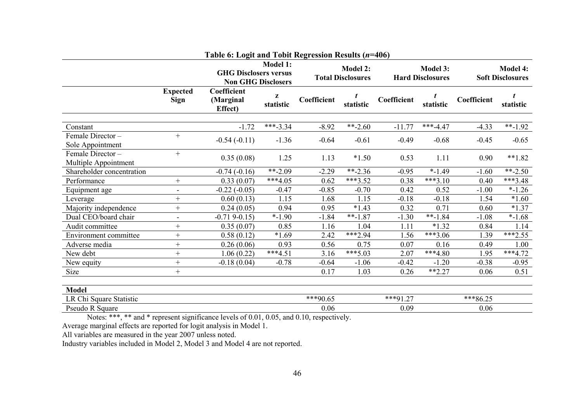|                                          |                          | Table 6: Logit and Tobit Regression Results (n=406)       |                 |             |                                             |                                            |            |                                            |                |
|------------------------------------------|--------------------------|-----------------------------------------------------------|-----------------|-------------|---------------------------------------------|--------------------------------------------|------------|--------------------------------------------|----------------|
|                                          |                          | <b>GHG Disclosers versus</b><br><b>Non GHG Disclosers</b> | <b>Model 1:</b> |             | <b>Model 2:</b><br><b>Total Disclosures</b> | <b>Model 3:</b><br><b>Hard Disclosures</b> |            | <b>Model 4:</b><br><b>Soft Disclosures</b> |                |
|                                          | <b>Expected</b><br>Sign  | Coefficient<br>(Marginal<br>Effect)                       | z<br>statistic  | Coefficient | statistic                                   | Coefficient                                | statistic  | Coefficient                                | t<br>statistic |
| Constant                                 |                          | $-1.72$                                                   | $***-3.34$      | $-8.92$     | $***-2.60$                                  | $-11.77$                                   | $***-4.47$ | $-4.33$                                    | $*$ -1.92      |
| Female Director-<br>Sole Appointment     | $^{+}$                   | $-0.54(-0.11)$                                            | $-1.36$         | $-0.64$     | $-0.61$                                     | $-0.49$                                    | $-0.68$    | $-0.45$                                    | $-0.65$        |
| Female Director-<br>Multiple Appointment | $^{+}$                   | 0.35(0.08)                                                | 1.25            | 1.13        | $*1.50$                                     | 0.53                                       | 1.11       | 0.90                                       | $**1.82$       |
| Shareholder concentration                |                          | $-0.74(-0.16)$                                            | $***-2.09$      | $-2.29$     | $*$ -2.36                                   | $-0.95$                                    | $* - 1.49$ | $-1.60$                                    | $***-2.50$     |
| Performance                              | $\! +$                   | 0.33(0.07)                                                | $***4.05$       | 0.62        | $***3.52$                                   | 0.38                                       | $***3.10$  | 0.40                                       | ***3.48        |
| Equipment age                            | $\overline{\phantom{a}}$ | $-0.22(-0.05)$                                            | $-0.47$         | $-0.85$     | $-0.70$                                     | 0.42                                       | 0.52       | $-1.00$                                    | $*-1.26$       |
| Leverage                                 | $^{+}$                   | 0.60(0.13)                                                | 1.15            | 1.68        | 1.15                                        | $-0.18$                                    | $-0.18$    | 1.54                                       | $*1.60$        |
| Majority independence                    | $^{+}$                   | 0.24(0.05)                                                | 0.94            | 0.95        | $*1.43$                                     | 0.32                                       | 0.71       | 0.60                                       | $*1.37$        |
| Dual CEO/board chair                     | $\overline{\phantom{a}}$ | $-0.719-0.15$                                             | $*-1.90$        | $-1.84$     | $***-1.87$                                  | $-1.30$                                    | $***-1.84$ | $-1.08$                                    | $*-1.68$       |
| Audit committee                          | $^{+}$                   | 0.35(0.07)                                                | 0.85            | 1.16        | 1.04                                        | 1.11                                       | $*1.32$    | 0.84                                       | 1.14           |
| Environment committee                    | $^{+}$                   | 0.58(0.12)                                                | $*1.69$         | 2.42        | $***2.94$                                   | 1.56                                       | $***3.06$  | 1.39                                       | $***2.55$      |
| Adverse media                            | $^{+}$                   | 0.26(0.06)                                                | 0.93            | 0.56        | 0.75                                        | 0.07                                       | 0.16       | 0.49                                       | 1.00           |
| New debt                                 | $\! +$                   | 1.06(0.22)                                                | $***4.51$       | 3.16        | $***5.03$                                   | 2.07                                       | $***4.80$  | 1.95                                       | $***4.72$      |
| New equity                               | $^{+}$                   | $-0.18(0.04)$                                             | $-0.78$         | $-0.64$     | $-1.06$                                     | $-0.42$                                    | $-1.20$    | $-0.38$                                    | $-0.95$        |
| Size                                     | $^{+}$                   |                                                           |                 | 0.17        | 1.03                                        | 0.26                                       | $**2.27$   | 0.06                                       | 0.51           |
| <b>Model</b>                             |                          |                                                           |                 |             |                                             |                                            |            |                                            |                |
| LR Chi Square Statistic                  |                          |                                                           |                 | ***90.65    |                                             | ***91.27                                   |            | $***86.25$                                 |                |
| Pseudo R Square                          |                          |                                                           |                 | 0.06        |                                             | 0.09                                       |            | 0.06                                       |                |

Notes: \*\*\*, \*\* and \* represent significance levels of 0.01, 0.05, and 0.10, respectively.

Average marginal effects are reported for logit analysis in Model 1.

All variables are measured in the year 2007 unless noted.

Industry variables included in Model 2, Model 3 and Model 4 are not reported.